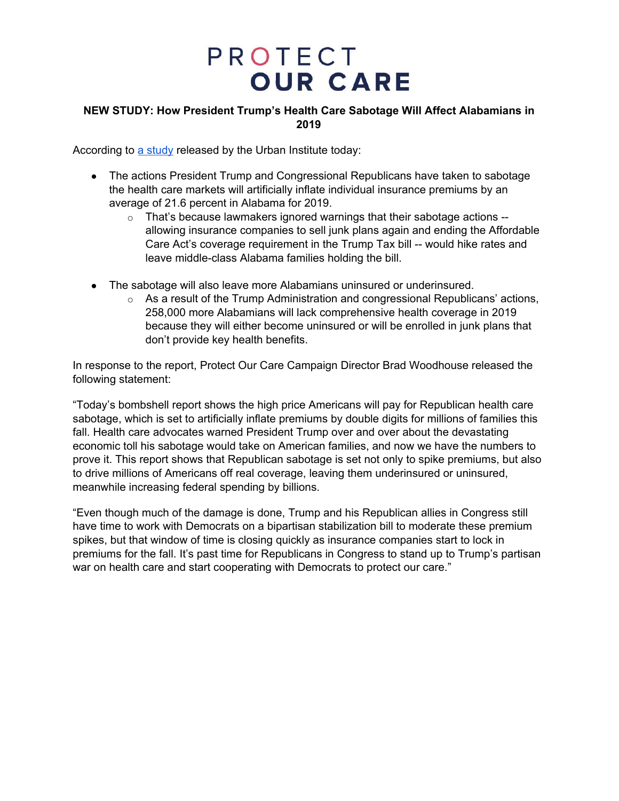### **NEW STUDY: How President Trump's Health Care Sabotage Will Affect Alabamians in 2019**

According to a [study](https://www.urban.org/research/publication/potential-impact-short-term-limited-duration-policies-insurance-coverage-premiums-and-federal-spending) released by the Urban Institute today:

- The actions President Trump and Congressional Republicans have taken to sabotage the health care markets will artificially inflate individual insurance premiums by an average of 21.6 percent in Alabama for 2019.
	- o That's because lawmakers ignored warnings that their sabotage actions allowing insurance companies to sell junk plans again and ending the Affordable Care Act's coverage requirement in the Trump Tax bill -- would hike rates and leave middle-class Alabama families holding the bill.
- The sabotage will also leave more Alabamians uninsured or underinsured.
	- $\circ$  As a result of the Trump Administration and congressional Republicans' actions, 258,000 more Alabamians will lack comprehensive health coverage in 2019 because they will either become uninsured or will be enrolled in junk plans that don't provide key health benefits.

In response to the report, Protect Our Care Campaign Director Brad Woodhouse released the following statement:

"Today's bombshell report shows the high price Americans will pay for Republican health care sabotage, which is set to artificially inflate premiums by double digits for millions of families this fall. Health care advocates warned President Trump over and over about the devastating economic toll his sabotage would take on American families, and now we have the numbers to prove it. This report shows that Republican sabotage is set not only to spike premiums, but also to drive millions of Americans off real coverage, leaving them underinsured or uninsured, meanwhile increasing federal spending by billions.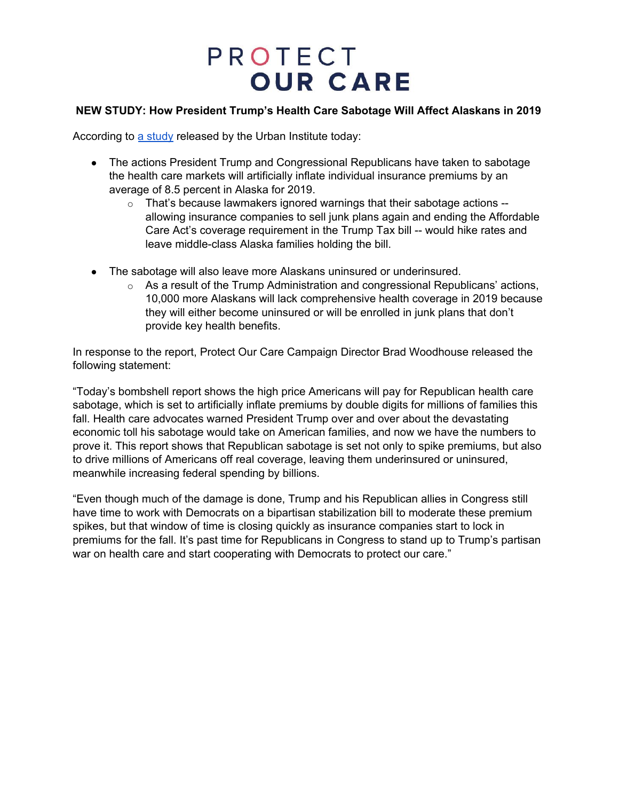### **NEW STUDY: How President Trump's Health Care Sabotage Will Affect Alaskans in 2019**

According to a [study](https://www.urban.org/research/publication/potential-impact-short-term-limited-duration-policies-insurance-coverage-premiums-and-federal-spending) released by the Urban Institute today:

- The actions President Trump and Congressional Republicans have taken to sabotage the health care markets will artificially inflate individual insurance premiums by an average of 8.5 percent in Alaska for 2019.
	- $\circ$  That's because lawmakers ignored warnings that their sabotage actions  $$ allowing insurance companies to sell junk plans again and ending the Affordable Care Act's coverage requirement in the Trump Tax bill -- would hike rates and leave middle-class Alaska families holding the bill.
- The sabotage will also leave more Alaskans uninsured or underinsured.
	- $\circ$  As a result of the Trump Administration and congressional Republicans' actions, 10,000 more Alaskans will lack comprehensive health coverage in 2019 because they will either become uninsured or will be enrolled in junk plans that don't provide key health benefits.

In response to the report, Protect Our Care Campaign Director Brad Woodhouse released the following statement:

"Today's bombshell report shows the high price Americans will pay for Republican health care sabotage, which is set to artificially inflate premiums by double digits for millions of families this fall. Health care advocates warned President Trump over and over about the devastating economic toll his sabotage would take on American families, and now we have the numbers to prove it. This report shows that Republican sabotage is set not only to spike premiums, but also to drive millions of Americans off real coverage, leaving them underinsured or uninsured, meanwhile increasing federal spending by billions.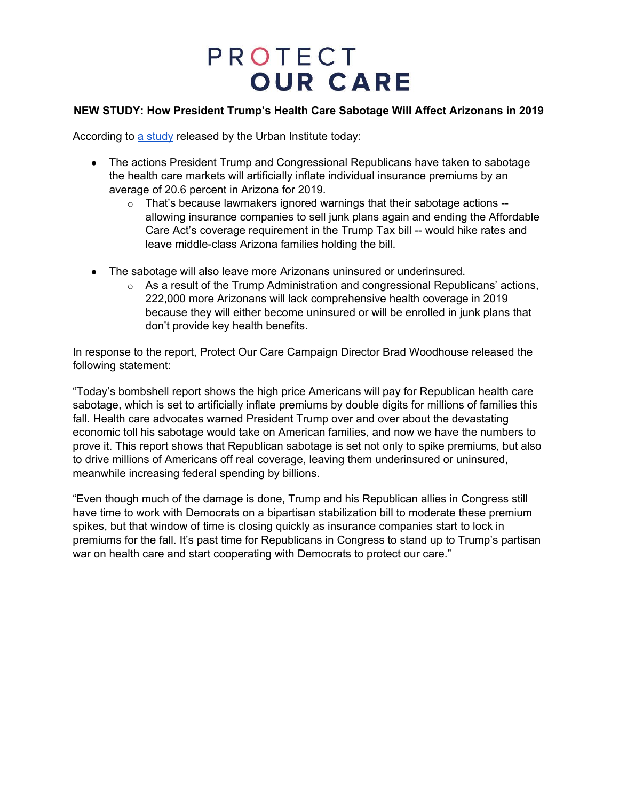### **NEW STUDY: How President Trump's Health Care Sabotage Will Affect Arizonans in 2019**

According to a [study](https://www.urban.org/research/publication/potential-impact-short-term-limited-duration-policies-insurance-coverage-premiums-and-federal-spending) released by the Urban Institute today:

- The actions President Trump and Congressional Republicans have taken to sabotage the health care markets will artificially inflate individual insurance premiums by an average of 20.6 percent in Arizona for 2019.
	- $\circ$  That's because lawmakers ignored warnings that their sabotage actions  $$ allowing insurance companies to sell junk plans again and ending the Affordable Care Act's coverage requirement in the Trump Tax bill -- would hike rates and leave middle-class Arizona families holding the bill.
- The sabotage will also leave more Arizonans uninsured or underinsured.
	- $\circ$  As a result of the Trump Administration and congressional Republicans' actions, 222,000 more Arizonans will lack comprehensive health coverage in 2019 because they will either become uninsured or will be enrolled in junk plans that don't provide key health benefits.

In response to the report, Protect Our Care Campaign Director Brad Woodhouse released the following statement:

"Today's bombshell report shows the high price Americans will pay for Republican health care sabotage, which is set to artificially inflate premiums by double digits for millions of families this fall. Health care advocates warned President Trump over and over about the devastating economic toll his sabotage would take on American families, and now we have the numbers to prove it. This report shows that Republican sabotage is set not only to spike premiums, but also to drive millions of Americans off real coverage, leaving them underinsured or uninsured, meanwhile increasing federal spending by billions.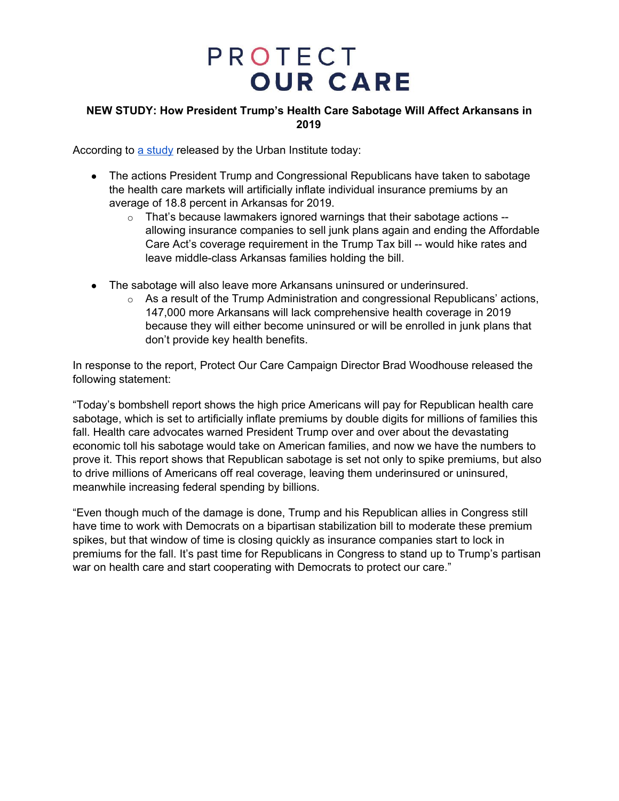### **NEW STUDY: How President Trump's Health Care Sabotage Will Affect Arkansans in 2019**

According to a [study](https://www.urban.org/research/publication/potential-impact-short-term-limited-duration-policies-insurance-coverage-premiums-and-federal-spending) released by the Urban Institute today:

- The actions President Trump and Congressional Republicans have taken to sabotage the health care markets will artificially inflate individual insurance premiums by an average of 18.8 percent in Arkansas for 2019.
	- o That's because lawmakers ignored warnings that their sabotage actions allowing insurance companies to sell junk plans again and ending the Affordable Care Act's coverage requirement in the Trump Tax bill -- would hike rates and leave middle-class Arkansas families holding the bill.
- The sabotage will also leave more Arkansans uninsured or underinsured.
	- $\circ$  As a result of the Trump Administration and congressional Republicans' actions, 147,000 more Arkansans will lack comprehensive health coverage in 2019 because they will either become uninsured or will be enrolled in junk plans that don't provide key health benefits.

In response to the report, Protect Our Care Campaign Director Brad Woodhouse released the following statement:

"Today's bombshell report shows the high price Americans will pay for Republican health care sabotage, which is set to artificially inflate premiums by double digits for millions of families this fall. Health care advocates warned President Trump over and over about the devastating economic toll his sabotage would take on American families, and now we have the numbers to prove it. This report shows that Republican sabotage is set not only to spike premiums, but also to drive millions of Americans off real coverage, leaving them underinsured or uninsured, meanwhile increasing federal spending by billions.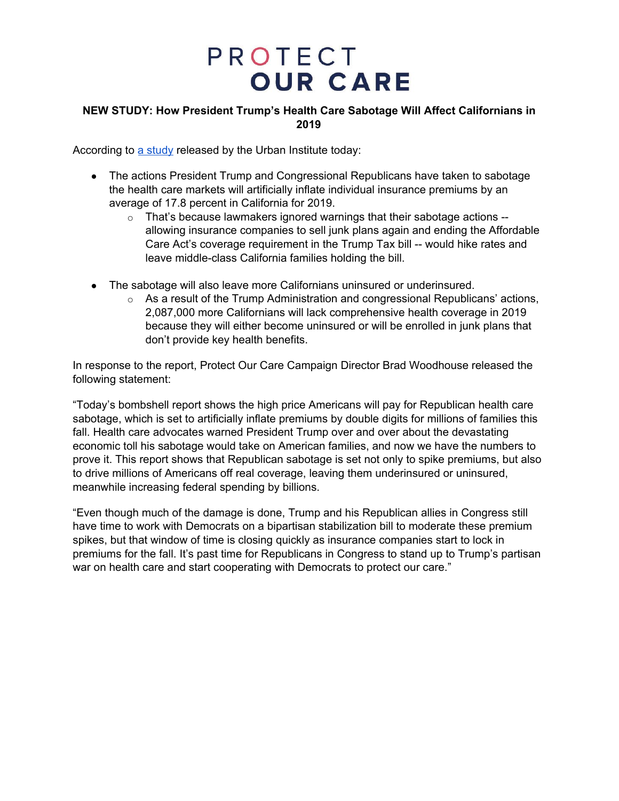### **NEW STUDY: How President Trump's Health Care Sabotage Will Affect Californians in 2019**

According to a [study](https://www.urban.org/research/publication/potential-impact-short-term-limited-duration-policies-insurance-coverage-premiums-and-federal-spending) released by the Urban Institute today:

- The actions President Trump and Congressional Republicans have taken to sabotage the health care markets will artificially inflate individual insurance premiums by an average of 17.8 percent in California for 2019.
	- o That's because lawmakers ignored warnings that their sabotage actions allowing insurance companies to sell junk plans again and ending the Affordable Care Act's coverage requirement in the Trump Tax bill -- would hike rates and leave middle-class California families holding the bill.
- The sabotage will also leave more Californians uninsured or underinsured.
	- $\circ$  As a result of the Trump Administration and congressional Republicans' actions, 2,087,000 more Californians will lack comprehensive health coverage in 2019 because they will either become uninsured or will be enrolled in junk plans that don't provide key health benefits.

In response to the report, Protect Our Care Campaign Director Brad Woodhouse released the following statement:

"Today's bombshell report shows the high price Americans will pay for Republican health care sabotage, which is set to artificially inflate premiums by double digits for millions of families this fall. Health care advocates warned President Trump over and over about the devastating economic toll his sabotage would take on American families, and now we have the numbers to prove it. This report shows that Republican sabotage is set not only to spike premiums, but also to drive millions of Americans off real coverage, leaving them underinsured or uninsured, meanwhile increasing federal spending by billions.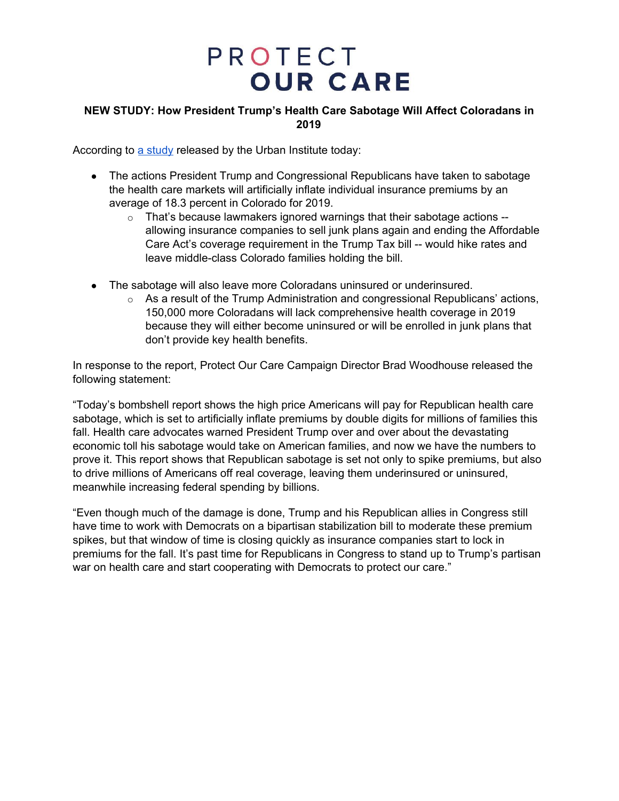### **NEW STUDY: How President Trump's Health Care Sabotage Will Affect Coloradans in 2019**

According to a [study](https://www.urban.org/research/publication/potential-impact-short-term-limited-duration-policies-insurance-coverage-premiums-and-federal-spending) released by the Urban Institute today:

- The actions President Trump and Congressional Republicans have taken to sabotage the health care markets will artificially inflate individual insurance premiums by an average of 18.3 percent in Colorado for 2019.
	- o That's because lawmakers ignored warnings that their sabotage actions allowing insurance companies to sell junk plans again and ending the Affordable Care Act's coverage requirement in the Trump Tax bill -- would hike rates and leave middle-class Colorado families holding the bill.
- The sabotage will also leave more Coloradans uninsured or underinsured.
	- $\circ$  As a result of the Trump Administration and congressional Republicans' actions, 150,000 more Coloradans will lack comprehensive health coverage in 2019 because they will either become uninsured or will be enrolled in junk plans that don't provide key health benefits.

In response to the report, Protect Our Care Campaign Director Brad Woodhouse released the following statement:

"Today's bombshell report shows the high price Americans will pay for Republican health care sabotage, which is set to artificially inflate premiums by double digits for millions of families this fall. Health care advocates warned President Trump over and over about the devastating economic toll his sabotage would take on American families, and now we have the numbers to prove it. This report shows that Republican sabotage is set not only to spike premiums, but also to drive millions of Americans off real coverage, leaving them underinsured or uninsured, meanwhile increasing federal spending by billions.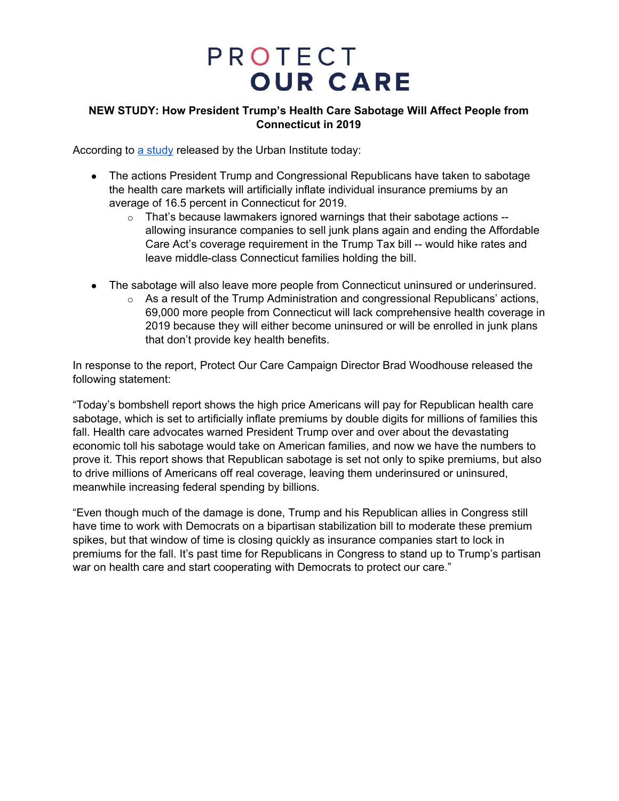### **NEW STUDY: How President Trump's Health Care Sabotage Will Affect People from Connecticut in 2019**

According to a [study](https://www.urban.org/research/publication/potential-impact-short-term-limited-duration-policies-insurance-coverage-premiums-and-federal-spending) released by the Urban Institute today:

- The actions President Trump and Congressional Republicans have taken to sabotage the health care markets will artificially inflate individual insurance premiums by an average of 16.5 percent in Connecticut for 2019.
	- o That's because lawmakers ignored warnings that their sabotage actions allowing insurance companies to sell junk plans again and ending the Affordable Care Act's coverage requirement in the Trump Tax bill -- would hike rates and leave middle-class Connecticut families holding the bill.
- The sabotage will also leave more people from Connecticut uninsured or underinsured.
	- $\circ$  As a result of the Trump Administration and congressional Republicans' actions, 69,000 more people from Connecticut will lack comprehensive health coverage in 2019 because they will either become uninsured or will be enrolled in junk plans that don't provide key health benefits.

In response to the report, Protect Our Care Campaign Director Brad Woodhouse released the following statement:

"Today's bombshell report shows the high price Americans will pay for Republican health care sabotage, which is set to artificially inflate premiums by double digits for millions of families this fall. Health care advocates warned President Trump over and over about the devastating economic toll his sabotage would take on American families, and now we have the numbers to prove it. This report shows that Republican sabotage is set not only to spike premiums, but also to drive millions of Americans off real coverage, leaving them underinsured or uninsured, meanwhile increasing federal spending by billions.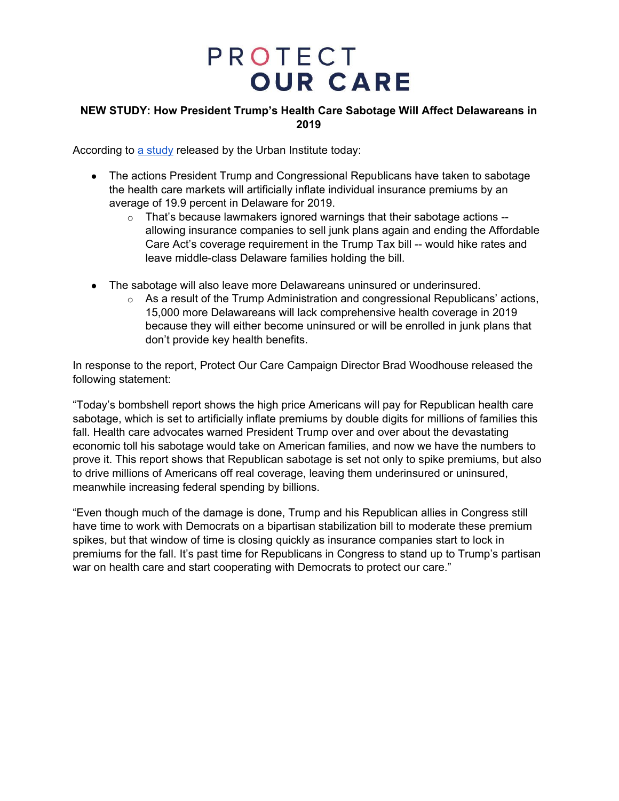### **NEW STUDY: How President Trump's Health Care Sabotage Will Affect Delawareans in 2019**

According to a [study](https://www.urban.org/research/publication/potential-impact-short-term-limited-duration-policies-insurance-coverage-premiums-and-federal-spending) released by the Urban Institute today:

- The actions President Trump and Congressional Republicans have taken to sabotage the health care markets will artificially inflate individual insurance premiums by an average of 19.9 percent in Delaware for 2019.
	- o That's because lawmakers ignored warnings that their sabotage actions allowing insurance companies to sell junk plans again and ending the Affordable Care Act's coverage requirement in the Trump Tax bill -- would hike rates and leave middle-class Delaware families holding the bill.
- The sabotage will also leave more Delawareans uninsured or underinsured.
	- $\circ$  As a result of the Trump Administration and congressional Republicans' actions, 15,000 more Delawareans will lack comprehensive health coverage in 2019 because they will either become uninsured or will be enrolled in junk plans that don't provide key health benefits.

In response to the report, Protect Our Care Campaign Director Brad Woodhouse released the following statement:

"Today's bombshell report shows the high price Americans will pay for Republican health care sabotage, which is set to artificially inflate premiums by double digits for millions of families this fall. Health care advocates warned President Trump over and over about the devastating economic toll his sabotage would take on American families, and now we have the numbers to prove it. This report shows that Republican sabotage is set not only to spike premiums, but also to drive millions of Americans off real coverage, leaving them underinsured or uninsured, meanwhile increasing federal spending by billions.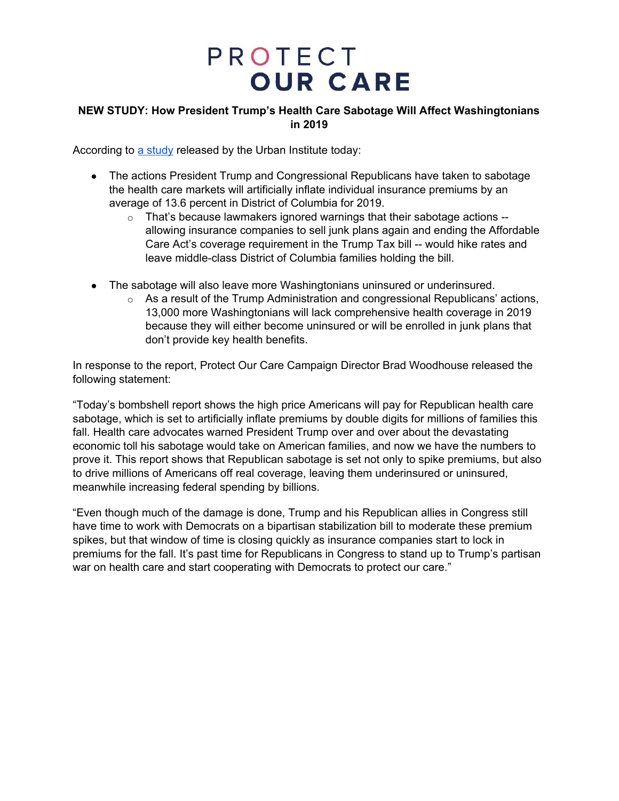### **NEW STUDY: How President Trump's Health Care Sabotage Will Affect Washingtonians in 2019**

According to a [study](https://www.urban.org/research/publication/potential-impact-short-term-limited-duration-policies-insurance-coverage-premiums-and-federal-spending) released by the Urban Institute today:

- The actions President Trump and Congressional Republicans have taken to sabotage the health care markets will artificially inflate individual insurance premiums by an average of 13.6 percent in District of Columbia for 2019.
	- o That's because lawmakers ignored warnings that their sabotage actions allowing insurance companies to sell junk plans again and ending the Affordable Care Act's coverage requirement in the Trump Tax bill -- would hike rates and leave middle-class District of Columbia families holding the bill.
- The sabotage will also leave more Washingtonians uninsured or underinsured.
	- $\circ$  As a result of the Trump Administration and congressional Republicans' actions, 13,000 more Washingtonians will lack comprehensive health coverage in 2019 because they will either become uninsured or will be enrolled in junk plans that don't provide key health benefits.

In response to the report, Protect Our Care Campaign Director Brad Woodhouse released the following statement:

"Today's bombshell report shows the high price Americans will pay for Republican health care sabotage, which is set to artificially inflate premiums by double digits for millions of families this fall. Health care advocates warned President Trump over and over about the devastating economic toll his sabotage would take on American families, and now we have the numbers to prove it. This report shows that Republican sabotage is set not only to spike premiums, but also to drive millions of Americans off real coverage, leaving them underinsured or uninsured, meanwhile increasing federal spending by billions.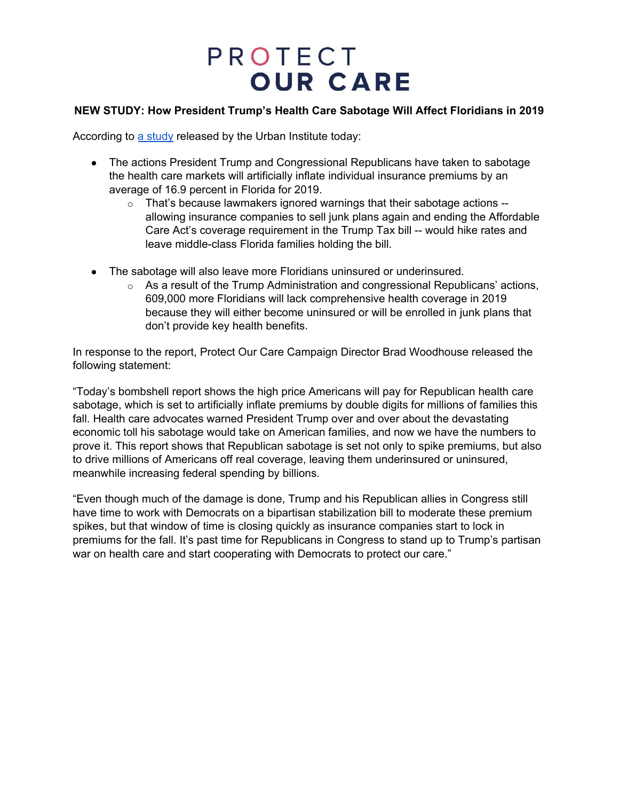### **NEW STUDY: How President Trump's Health Care Sabotage Will Affect Floridians in 2019**

According to a [study](https://www.urban.org/research/publication/potential-impact-short-term-limited-duration-policies-insurance-coverage-premiums-and-federal-spending) released by the Urban Institute today:

- The actions President Trump and Congressional Republicans have taken to sabotage the health care markets will artificially inflate individual insurance premiums by an average of 16.9 percent in Florida for 2019.
	- $\circ$  That's because lawmakers ignored warnings that their sabotage actions  $$ allowing insurance companies to sell junk plans again and ending the Affordable Care Act's coverage requirement in the Trump Tax bill -- would hike rates and leave middle-class Florida families holding the bill.
- The sabotage will also leave more Floridians uninsured or underinsured.
	- $\circ$  As a result of the Trump Administration and congressional Republicans' actions, 609,000 more Floridians will lack comprehensive health coverage in 2019 because they will either become uninsured or will be enrolled in junk plans that don't provide key health benefits.

In response to the report, Protect Our Care Campaign Director Brad Woodhouse released the following statement:

"Today's bombshell report shows the high price Americans will pay for Republican health care sabotage, which is set to artificially inflate premiums by double digits for millions of families this fall. Health care advocates warned President Trump over and over about the devastating economic toll his sabotage would take on American families, and now we have the numbers to prove it. This report shows that Republican sabotage is set not only to spike premiums, but also to drive millions of Americans off real coverage, leaving them underinsured or uninsured, meanwhile increasing federal spending by billions.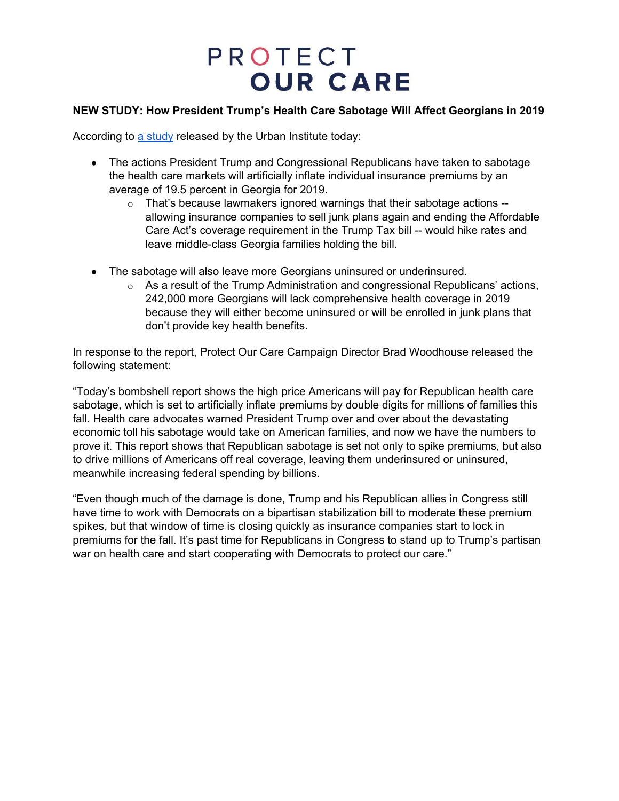### **NEW STUDY: How President Trump's Health Care Sabotage Will Affect Georgians in 2019**

According to a [study](https://www.urban.org/research/publication/potential-impact-short-term-limited-duration-policies-insurance-coverage-premiums-and-federal-spending) released by the Urban Institute today:

- The actions President Trump and Congressional Republicans have taken to sabotage the health care markets will artificially inflate individual insurance premiums by an average of 19.5 percent in Georgia for 2019.
	- $\circ$  That's because lawmakers ignored warnings that their sabotage actions  $$ allowing insurance companies to sell junk plans again and ending the Affordable Care Act's coverage requirement in the Trump Tax bill -- would hike rates and leave middle-class Georgia families holding the bill.
- The sabotage will also leave more Georgians uninsured or underinsured.
	- $\circ$  As a result of the Trump Administration and congressional Republicans' actions, 242,000 more Georgians will lack comprehensive health coverage in 2019 because they will either become uninsured or will be enrolled in junk plans that don't provide key health benefits.

In response to the report, Protect Our Care Campaign Director Brad Woodhouse released the following statement:

"Today's bombshell report shows the high price Americans will pay for Republican health care sabotage, which is set to artificially inflate premiums by double digits for millions of families this fall. Health care advocates warned President Trump over and over about the devastating economic toll his sabotage would take on American families, and now we have the numbers to prove it. This report shows that Republican sabotage is set not only to spike premiums, but also to drive millions of Americans off real coverage, leaving them underinsured or uninsured, meanwhile increasing federal spending by billions.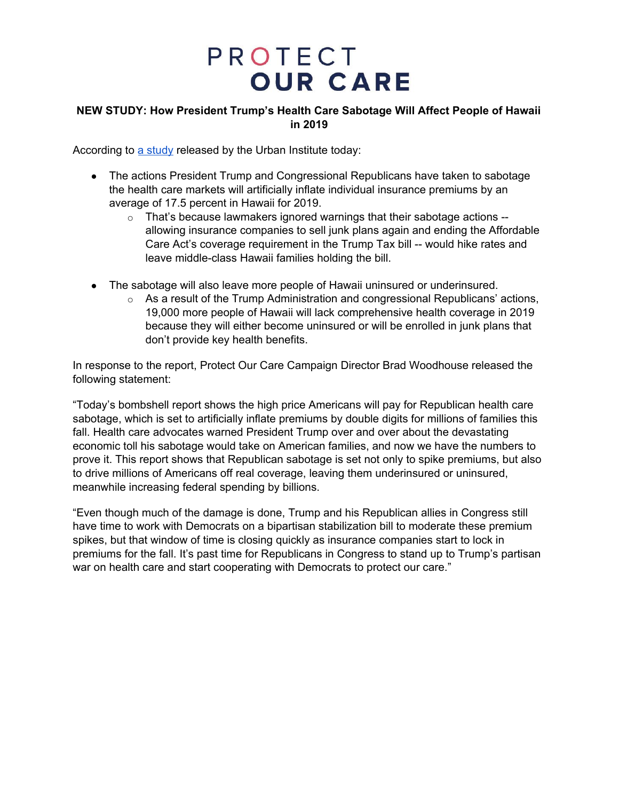### **NEW STUDY: How President Trump's Health Care Sabotage Will Affect People of Hawaii in 2019**

According to a [study](https://www.urban.org/research/publication/potential-impact-short-term-limited-duration-policies-insurance-coverage-premiums-and-federal-spending) released by the Urban Institute today:

- The actions President Trump and Congressional Republicans have taken to sabotage the health care markets will artificially inflate individual insurance premiums by an average of 17.5 percent in Hawaii for 2019.
	- $\circ$  That's because lawmakers ignored warnings that their sabotage actions -allowing insurance companies to sell junk plans again and ending the Affordable Care Act's coverage requirement in the Trump Tax bill -- would hike rates and leave middle-class Hawaii families holding the bill.
- The sabotage will also leave more people of Hawaii uninsured or underinsured.
	- $\circ$  As a result of the Trump Administration and congressional Republicans' actions, 19,000 more people of Hawaii will lack comprehensive health coverage in 2019 because they will either become uninsured or will be enrolled in junk plans that don't provide key health benefits.

In response to the report, Protect Our Care Campaign Director Brad Woodhouse released the following statement:

"Today's bombshell report shows the high price Americans will pay for Republican health care sabotage, which is set to artificially inflate premiums by double digits for millions of families this fall. Health care advocates warned President Trump over and over about the devastating economic toll his sabotage would take on American families, and now we have the numbers to prove it. This report shows that Republican sabotage is set not only to spike premiums, but also to drive millions of Americans off real coverage, leaving them underinsured or uninsured, meanwhile increasing federal spending by billions.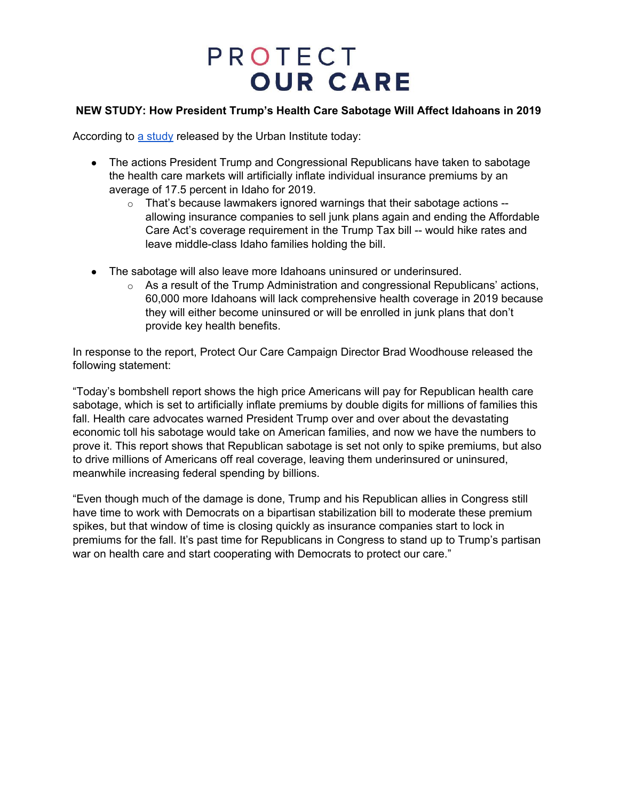### **NEW STUDY: How President Trump's Health Care Sabotage Will Affect Idahoans in 2019**

According to a [study](https://www.urban.org/research/publication/potential-impact-short-term-limited-duration-policies-insurance-coverage-premiums-and-federal-spending) released by the Urban Institute today:

- The actions President Trump and Congressional Republicans have taken to sabotage the health care markets will artificially inflate individual insurance premiums by an average of 17.5 percent in Idaho for 2019.
	- $\circ$  That's because lawmakers ignored warnings that their sabotage actions  $$ allowing insurance companies to sell junk plans again and ending the Affordable Care Act's coverage requirement in the Trump Tax bill -- would hike rates and leave middle-class Idaho families holding the bill.
- The sabotage will also leave more Idahoans uninsured or underinsured.
	- $\circ$  As a result of the Trump Administration and congressional Republicans' actions, 60,000 more Idahoans will lack comprehensive health coverage in 2019 because they will either become uninsured or will be enrolled in junk plans that don't provide key health benefits.

In response to the report, Protect Our Care Campaign Director Brad Woodhouse released the following statement:

"Today's bombshell report shows the high price Americans will pay for Republican health care sabotage, which is set to artificially inflate premiums by double digits for millions of families this fall. Health care advocates warned President Trump over and over about the devastating economic toll his sabotage would take on American families, and now we have the numbers to prove it. This report shows that Republican sabotage is set not only to spike premiums, but also to drive millions of Americans off real coverage, leaving them underinsured or uninsured, meanwhile increasing federal spending by billions.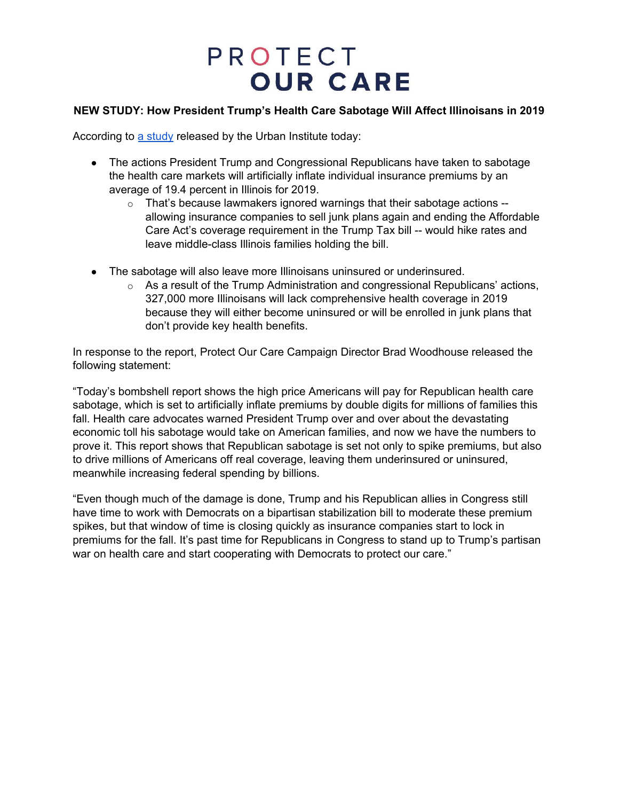### **NEW STUDY: How President Trump's Health Care Sabotage Will Affect Illinoisans in 2019**

According to a [study](https://www.urban.org/research/publication/potential-impact-short-term-limited-duration-policies-insurance-coverage-premiums-and-federal-spending) released by the Urban Institute today:

- The actions President Trump and Congressional Republicans have taken to sabotage the health care markets will artificially inflate individual insurance premiums by an average of 19.4 percent in Illinois for 2019.
	- $\circ$  That's because lawmakers ignored warnings that their sabotage actions  $$ allowing insurance companies to sell junk plans again and ending the Affordable Care Act's coverage requirement in the Trump Tax bill -- would hike rates and leave middle-class Illinois families holding the bill.
- The sabotage will also leave more Illinoisans uninsured or underinsured.
	- $\circ$  As a result of the Trump Administration and congressional Republicans' actions, 327,000 more Illinoisans will lack comprehensive health coverage in 2019 because they will either become uninsured or will be enrolled in junk plans that don't provide key health benefits.

In response to the report, Protect Our Care Campaign Director Brad Woodhouse released the following statement:

"Today's bombshell report shows the high price Americans will pay for Republican health care sabotage, which is set to artificially inflate premiums by double digits for millions of families this fall. Health care advocates warned President Trump over and over about the devastating economic toll his sabotage would take on American families, and now we have the numbers to prove it. This report shows that Republican sabotage is set not only to spike premiums, but also to drive millions of Americans off real coverage, leaving them underinsured or uninsured, meanwhile increasing federal spending by billions.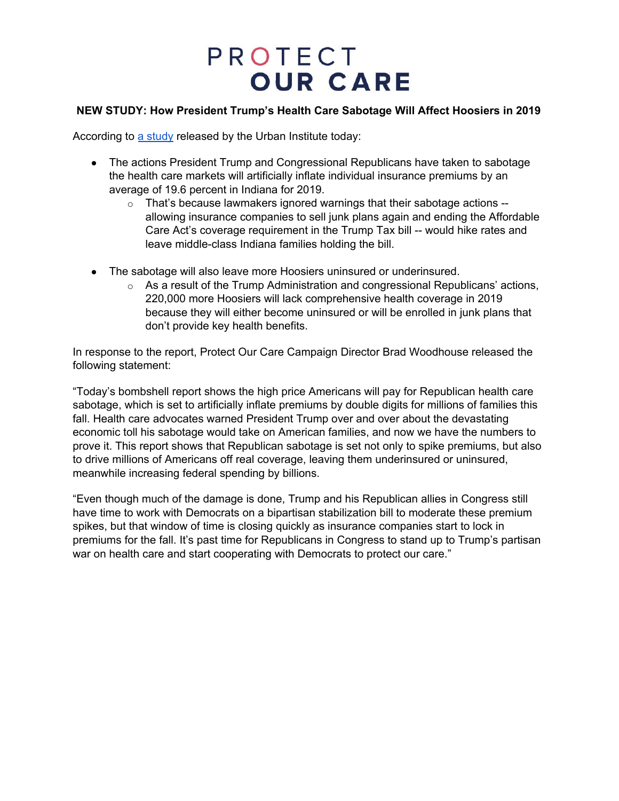### **NEW STUDY: How President Trump's Health Care Sabotage Will Affect Hoosiers in 2019**

According to a [study](https://www.urban.org/research/publication/potential-impact-short-term-limited-duration-policies-insurance-coverage-premiums-and-federal-spending) released by the Urban Institute today:

- The actions President Trump and Congressional Republicans have taken to sabotage the health care markets will artificially inflate individual insurance premiums by an average of 19.6 percent in Indiana for 2019.
	- $\circ$  That's because lawmakers ignored warnings that their sabotage actions  $$ allowing insurance companies to sell junk plans again and ending the Affordable Care Act's coverage requirement in the Trump Tax bill -- would hike rates and leave middle-class Indiana families holding the bill.
- The sabotage will also leave more Hoosiers uninsured or underinsured.
	- $\circ$  As a result of the Trump Administration and congressional Republicans' actions, 220,000 more Hoosiers will lack comprehensive health coverage in 2019 because they will either become uninsured or will be enrolled in junk plans that don't provide key health benefits.

In response to the report, Protect Our Care Campaign Director Brad Woodhouse released the following statement:

"Today's bombshell report shows the high price Americans will pay for Republican health care sabotage, which is set to artificially inflate premiums by double digits for millions of families this fall. Health care advocates warned President Trump over and over about the devastating economic toll his sabotage would take on American families, and now we have the numbers to prove it. This report shows that Republican sabotage is set not only to spike premiums, but also to drive millions of Americans off real coverage, leaving them underinsured or uninsured, meanwhile increasing federal spending by billions.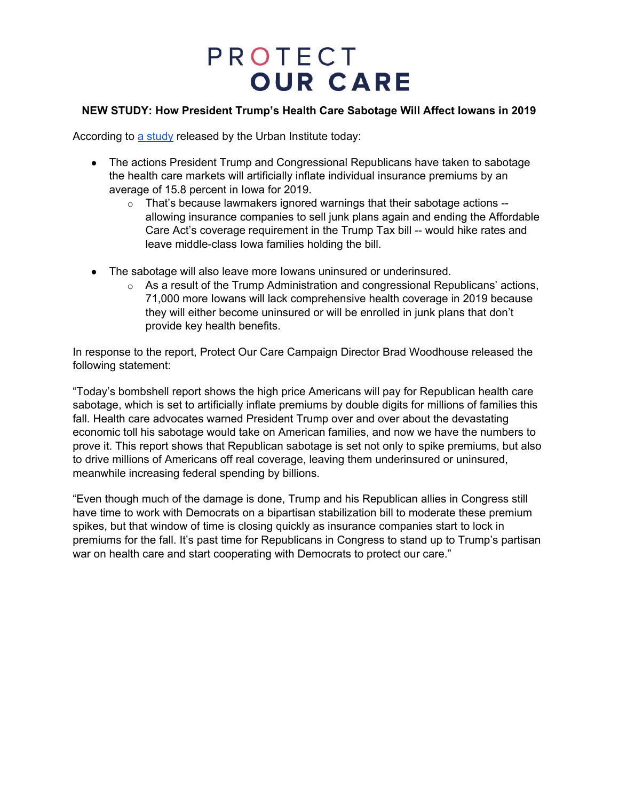### **NEW STUDY: How President Trump's Health Care Sabotage Will Affect Iowans in 2019**

According to a [study](https://www.urban.org/research/publication/potential-impact-short-term-limited-duration-policies-insurance-coverage-premiums-and-federal-spending) released by the Urban Institute today:

- The actions President Trump and Congressional Republicans have taken to sabotage the health care markets will artificially inflate individual insurance premiums by an average of 15.8 percent in Iowa for 2019.
	- $\circ$  That's because lawmakers ignored warnings that their sabotage actions  $$ allowing insurance companies to sell junk plans again and ending the Affordable Care Act's coverage requirement in the Trump Tax bill -- would hike rates and leave middle-class Iowa families holding the bill.
- The sabotage will also leave more lowans uninsured or underinsured.
	- $\circ$  As a result of the Trump Administration and congressional Republicans' actions, 71,000 more Iowans will lack comprehensive health coverage in 2019 because they will either become uninsured or will be enrolled in junk plans that don't provide key health benefits.

In response to the report, Protect Our Care Campaign Director Brad Woodhouse released the following statement:

"Today's bombshell report shows the high price Americans will pay for Republican health care sabotage, which is set to artificially inflate premiums by double digits for millions of families this fall. Health care advocates warned President Trump over and over about the devastating economic toll his sabotage would take on American families, and now we have the numbers to prove it. This report shows that Republican sabotage is set not only to spike premiums, but also to drive millions of Americans off real coverage, leaving them underinsured or uninsured, meanwhile increasing federal spending by billions.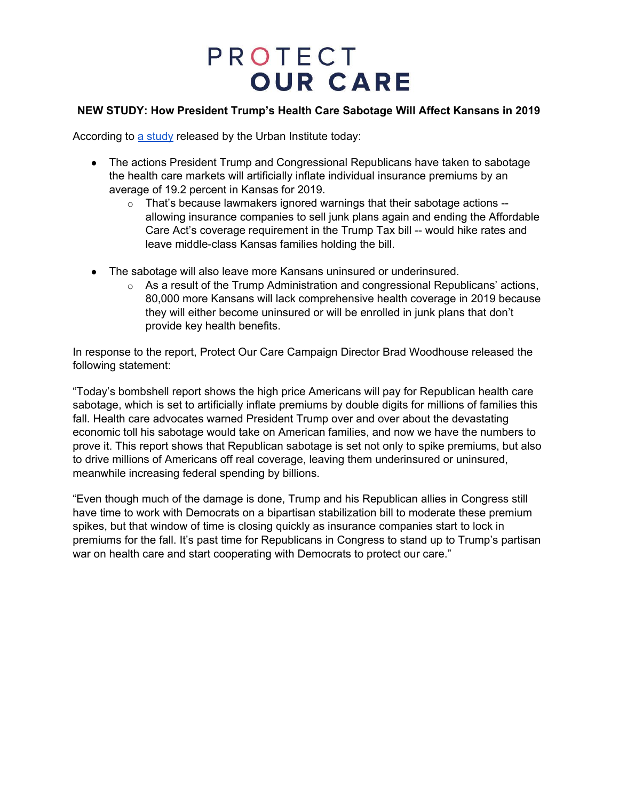#### **NEW STUDY: How President Trump's Health Care Sabotage Will Affect Kansans in 2019**

According to a [study](https://www.urban.org/research/publication/potential-impact-short-term-limited-duration-policies-insurance-coverage-premiums-and-federal-spending) released by the Urban Institute today:

- The actions President Trump and Congressional Republicans have taken to sabotage the health care markets will artificially inflate individual insurance premiums by an average of 19.2 percent in Kansas for 2019.
	- $\circ$  That's because lawmakers ignored warnings that their sabotage actions  $$ allowing insurance companies to sell junk plans again and ending the Affordable Care Act's coverage requirement in the Trump Tax bill -- would hike rates and leave middle-class Kansas families holding the bill.
- The sabotage will also leave more Kansans uninsured or underinsured.
	- $\circ$  As a result of the Trump Administration and congressional Republicans' actions, 80,000 more Kansans will lack comprehensive health coverage in 2019 because they will either become uninsured or will be enrolled in junk plans that don't provide key health benefits.

In response to the report, Protect Our Care Campaign Director Brad Woodhouse released the following statement:

"Today's bombshell report shows the high price Americans will pay for Republican health care sabotage, which is set to artificially inflate premiums by double digits for millions of families this fall. Health care advocates warned President Trump over and over about the devastating economic toll his sabotage would take on American families, and now we have the numbers to prove it. This report shows that Republican sabotage is set not only to spike premiums, but also to drive millions of Americans off real coverage, leaving them underinsured or uninsured, meanwhile increasing federal spending by billions.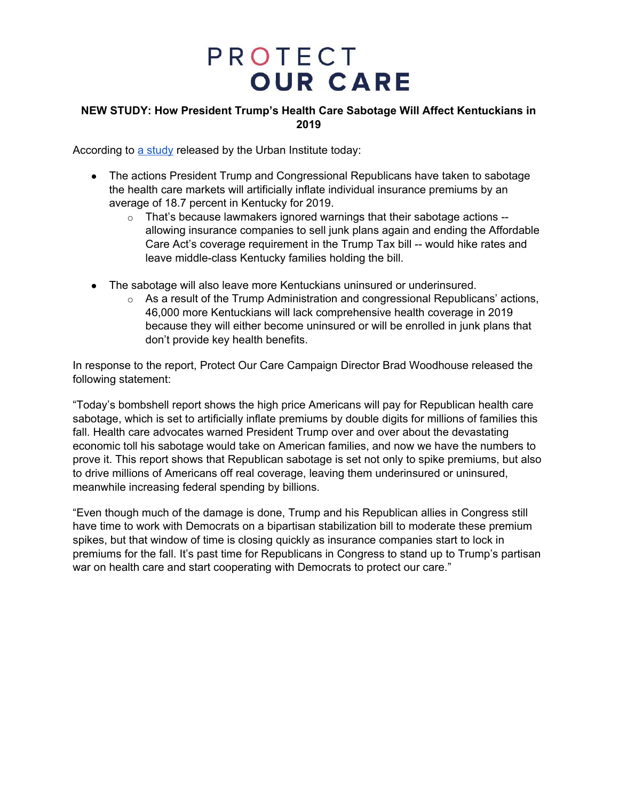### **NEW STUDY: How President Trump's Health Care Sabotage Will Affect Kentuckians in 2019**

According to a [study](https://www.urban.org/research/publication/potential-impact-short-term-limited-duration-policies-insurance-coverage-premiums-and-federal-spending) released by the Urban Institute today:

- The actions President Trump and Congressional Republicans have taken to sabotage the health care markets will artificially inflate individual insurance premiums by an average of 18.7 percent in Kentucky for 2019.
	- o That's because lawmakers ignored warnings that their sabotage actions allowing insurance companies to sell junk plans again and ending the Affordable Care Act's coverage requirement in the Trump Tax bill -- would hike rates and leave middle-class Kentucky families holding the bill.
- The sabotage will also leave more Kentuckians uninsured or underinsured.
	- $\circ$  As a result of the Trump Administration and congressional Republicans' actions, 46,000 more Kentuckians will lack comprehensive health coverage in 2019 because they will either become uninsured or will be enrolled in junk plans that don't provide key health benefits.

In response to the report, Protect Our Care Campaign Director Brad Woodhouse released the following statement:

"Today's bombshell report shows the high price Americans will pay for Republican health care sabotage, which is set to artificially inflate premiums by double digits for millions of families this fall. Health care advocates warned President Trump over and over about the devastating economic toll his sabotage would take on American families, and now we have the numbers to prove it. This report shows that Republican sabotage is set not only to spike premiums, but also to drive millions of Americans off real coverage, leaving them underinsured or uninsured, meanwhile increasing federal spending by billions.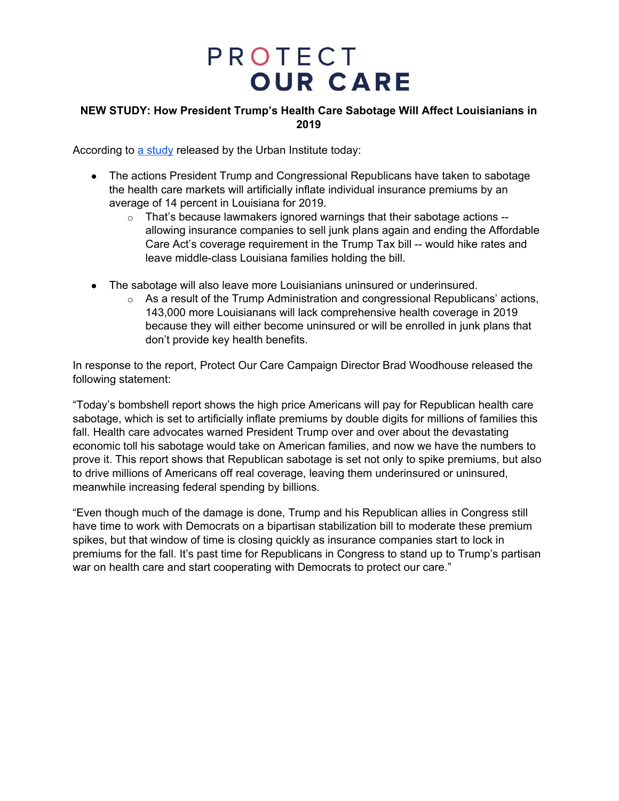### **NEW STUDY: How President Trump's Health Care Sabotage Will Affect Louisianians in 2019**

According to a [study](https://www.urban.org/research/publication/potential-impact-short-term-limited-duration-policies-insurance-coverage-premiums-and-federal-spending) released by the Urban Institute today:

- The actions President Trump and Congressional Republicans have taken to sabotage the health care markets will artificially inflate individual insurance premiums by an average of 14 percent in Louisiana for 2019.
	- $\circ$  That's because lawmakers ignored warnings that their sabotage actions -allowing insurance companies to sell junk plans again and ending the Affordable Care Act's coverage requirement in the Trump Tax bill -- would hike rates and leave middle-class Louisiana families holding the bill.
- The sabotage will also leave more Louisianians uninsured or underinsured.
	- $\circ$  As a result of the Trump Administration and congressional Republicans' actions, 143,000 more Louisianans will lack comprehensive health coverage in 2019 because they will either become uninsured or will be enrolled in junk plans that don't provide key health benefits.

In response to the report, Protect Our Care Campaign Director Brad Woodhouse released the following statement:

"Today's bombshell report shows the high price Americans will pay for Republican health care sabotage, which is set to artificially inflate premiums by double digits for millions of families this fall. Health care advocates warned President Trump over and over about the devastating economic toll his sabotage would take on American families, and now we have the numbers to prove it. This report shows that Republican sabotage is set not only to spike premiums, but also to drive millions of Americans off real coverage, leaving them underinsured or uninsured, meanwhile increasing federal spending by billions.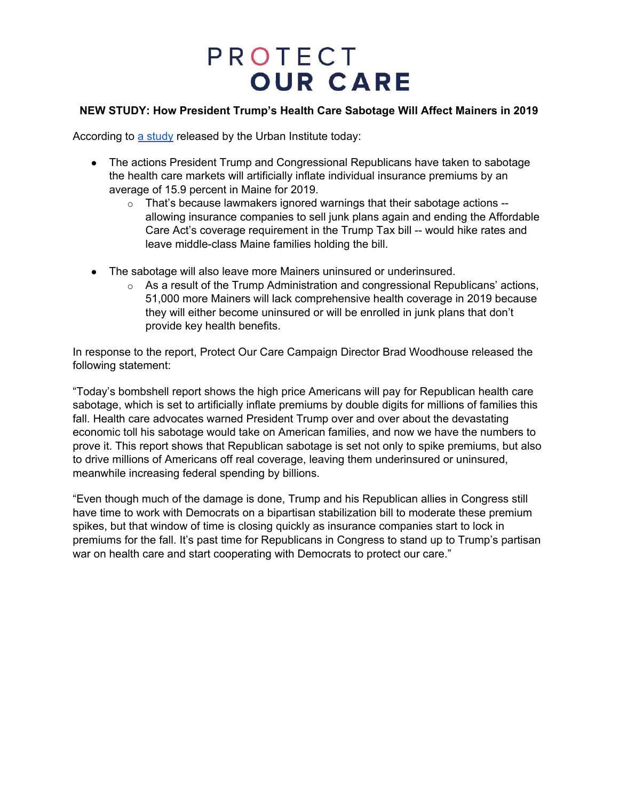### **NEW STUDY: How President Trump's Health Care Sabotage Will Affect Mainers in 2019**

According to a [study](https://www.urban.org/research/publication/potential-impact-short-term-limited-duration-policies-insurance-coverage-premiums-and-federal-spending) released by the Urban Institute today:

- The actions President Trump and Congressional Republicans have taken to sabotage the health care markets will artificially inflate individual insurance premiums by an average of 15.9 percent in Maine for 2019.
	- $\circ$  That's because lawmakers ignored warnings that their sabotage actions  $$ allowing insurance companies to sell junk plans again and ending the Affordable Care Act's coverage requirement in the Trump Tax bill -- would hike rates and leave middle-class Maine families holding the bill.
- The sabotage will also leave more Mainers uninsured or underinsured.
	- As a result of the Trump Administration and congressional Republicans' actions, 51,000 more Mainers will lack comprehensive health coverage in 2019 because they will either become uninsured or will be enrolled in junk plans that don't provide key health benefits.

In response to the report, Protect Our Care Campaign Director Brad Woodhouse released the following statement:

"Today's bombshell report shows the high price Americans will pay for Republican health care sabotage, which is set to artificially inflate premiums by double digits for millions of families this fall. Health care advocates warned President Trump over and over about the devastating economic toll his sabotage would take on American families, and now we have the numbers to prove it. This report shows that Republican sabotage is set not only to spike premiums, but also to drive millions of Americans off real coverage, leaving them underinsured or uninsured, meanwhile increasing federal spending by billions.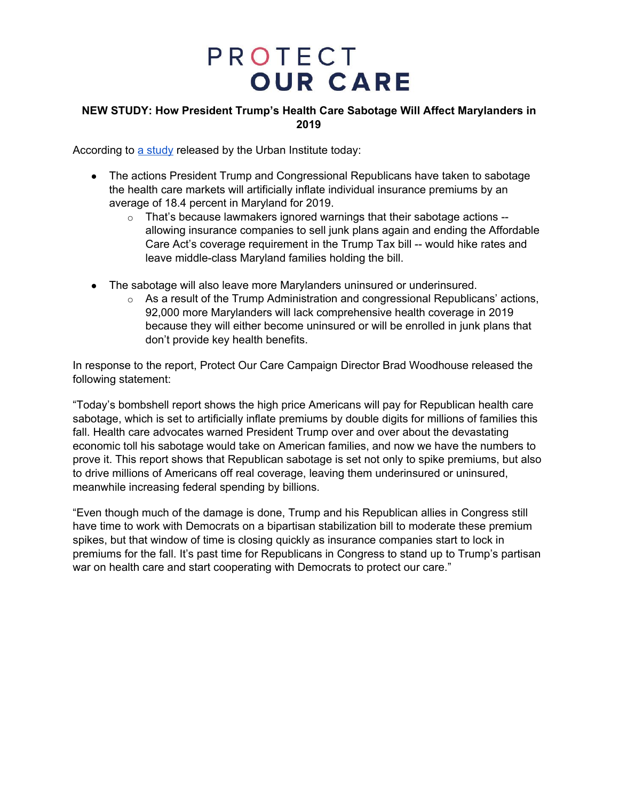### **NEW STUDY: How President Trump's Health Care Sabotage Will Affect Marylanders in 2019**

According to a [study](https://www.urban.org/research/publication/potential-impact-short-term-limited-duration-policies-insurance-coverage-premiums-and-federal-spending) released by the Urban Institute today:

- The actions President Trump and Congressional Republicans have taken to sabotage the health care markets will artificially inflate individual insurance premiums by an average of 18.4 percent in Maryland for 2019.
	- $\circ$  That's because lawmakers ignored warnings that their sabotage actions -allowing insurance companies to sell junk plans again and ending the Affordable Care Act's coverage requirement in the Trump Tax bill -- would hike rates and leave middle-class Maryland families holding the bill.
- The sabotage will also leave more Marylanders uninsured or underinsured.
	- $\circ$  As a result of the Trump Administration and congressional Republicans' actions, 92,000 more Marylanders will lack comprehensive health coverage in 2019 because they will either become uninsured or will be enrolled in junk plans that don't provide key health benefits.

In response to the report, Protect Our Care Campaign Director Brad Woodhouse released the following statement:

"Today's bombshell report shows the high price Americans will pay for Republican health care sabotage, which is set to artificially inflate premiums by double digits for millions of families this fall. Health care advocates warned President Trump over and over about the devastating economic toll his sabotage would take on American families, and now we have the numbers to prove it. This report shows that Republican sabotage is set not only to spike premiums, but also to drive millions of Americans off real coverage, leaving them underinsured or uninsured, meanwhile increasing federal spending by billions.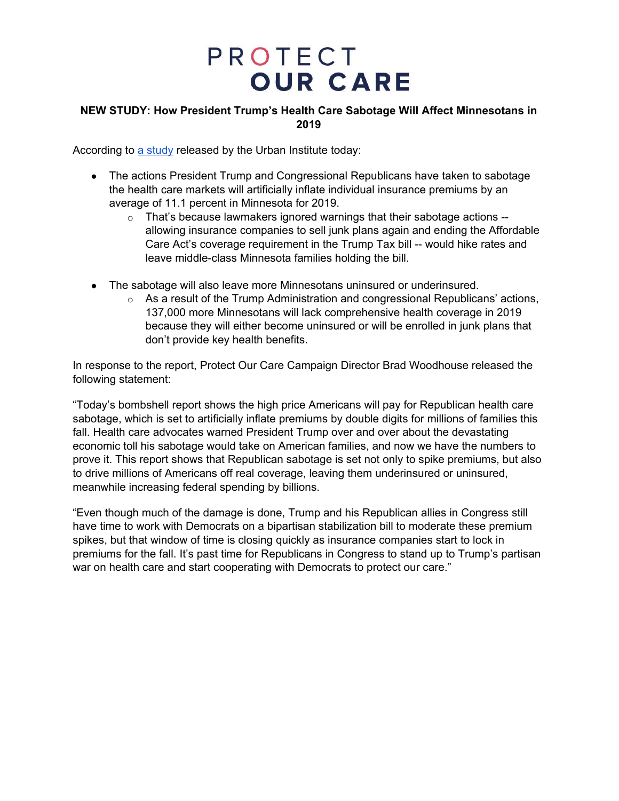### **NEW STUDY: How President Trump's Health Care Sabotage Will Affect Minnesotans in 2019**

According to a [study](https://www.urban.org/research/publication/potential-impact-short-term-limited-duration-policies-insurance-coverage-premiums-and-federal-spending) released by the Urban Institute today:

- The actions President Trump and Congressional Republicans have taken to sabotage the health care markets will artificially inflate individual insurance premiums by an average of 11.1 percent in Minnesota for 2019.
	- $\circ$  That's because lawmakers ignored warnings that their sabotage actions -allowing insurance companies to sell junk plans again and ending the Affordable Care Act's coverage requirement in the Trump Tax bill -- would hike rates and leave middle-class Minnesota families holding the bill.
- The sabotage will also leave more Minnesotans uninsured or underinsured.
	- $\circ$  As a result of the Trump Administration and congressional Republicans' actions, 137,000 more Minnesotans will lack comprehensive health coverage in 2019 because they will either become uninsured or will be enrolled in junk plans that don't provide key health benefits.

In response to the report, Protect Our Care Campaign Director Brad Woodhouse released the following statement:

"Today's bombshell report shows the high price Americans will pay for Republican health care sabotage, which is set to artificially inflate premiums by double digits for millions of families this fall. Health care advocates warned President Trump over and over about the devastating economic toll his sabotage would take on American families, and now we have the numbers to prove it. This report shows that Republican sabotage is set not only to spike premiums, but also to drive millions of Americans off real coverage, leaving them underinsured or uninsured, meanwhile increasing federal spending by billions.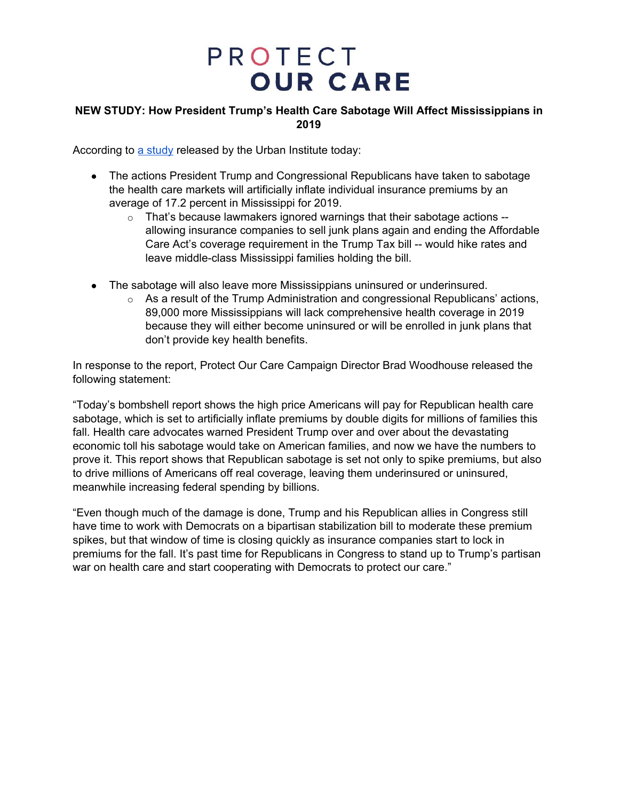### **NEW STUDY: How President Trump's Health Care Sabotage Will Affect Mississippians in 2019**

According to a [study](https://www.urban.org/research/publication/potential-impact-short-term-limited-duration-policies-insurance-coverage-premiums-and-federal-spending) released by the Urban Institute today:

- The actions President Trump and Congressional Republicans have taken to sabotage the health care markets will artificially inflate individual insurance premiums by an average of 17.2 percent in Mississippi for 2019.
	- $\circ$  That's because lawmakers ignored warnings that their sabotage actions -allowing insurance companies to sell junk plans again and ending the Affordable Care Act's coverage requirement in the Trump Tax bill -- would hike rates and leave middle-class Mississippi families holding the bill.
- The sabotage will also leave more Mississippians uninsured or underinsured.
	- $\circ$  As a result of the Trump Administration and congressional Republicans' actions, 89,000 more Mississippians will lack comprehensive health coverage in 2019 because they will either become uninsured or will be enrolled in junk plans that don't provide key health benefits.

In response to the report, Protect Our Care Campaign Director Brad Woodhouse released the following statement:

"Today's bombshell report shows the high price Americans will pay for Republican health care sabotage, which is set to artificially inflate premiums by double digits for millions of families this fall. Health care advocates warned President Trump over and over about the devastating economic toll his sabotage would take on American families, and now we have the numbers to prove it. This report shows that Republican sabotage is set not only to spike premiums, but also to drive millions of Americans off real coverage, leaving them underinsured or uninsured, meanwhile increasing federal spending by billions.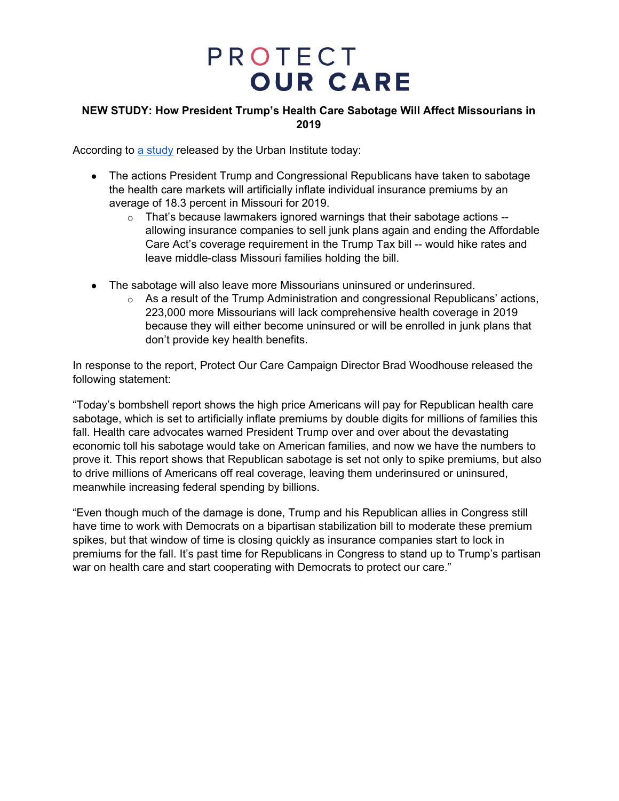### **NEW STUDY: How President Trump's Health Care Sabotage Will Affect Missourians in 2019**

According to a [study](https://www.urban.org/research/publication/potential-impact-short-term-limited-duration-policies-insurance-coverage-premiums-and-federal-spending) released by the Urban Institute today:

- The actions President Trump and Congressional Republicans have taken to sabotage the health care markets will artificially inflate individual insurance premiums by an average of 18.3 percent in Missouri for 2019.
	- o That's because lawmakers ignored warnings that their sabotage actions allowing insurance companies to sell junk plans again and ending the Affordable Care Act's coverage requirement in the Trump Tax bill -- would hike rates and leave middle-class Missouri families holding the bill.
- The sabotage will also leave more Missourians uninsured or underinsured.
	- $\circ$  As a result of the Trump Administration and congressional Republicans' actions, 223,000 more Missourians will lack comprehensive health coverage in 2019 because they will either become uninsured or will be enrolled in junk plans that don't provide key health benefits.

In response to the report, Protect Our Care Campaign Director Brad Woodhouse released the following statement:

"Today's bombshell report shows the high price Americans will pay for Republican health care sabotage, which is set to artificially inflate premiums by double digits for millions of families this fall. Health care advocates warned President Trump over and over about the devastating economic toll his sabotage would take on American families, and now we have the numbers to prove it. This report shows that Republican sabotage is set not only to spike premiums, but also to drive millions of Americans off real coverage, leaving them underinsured or uninsured, meanwhile increasing federal spending by billions.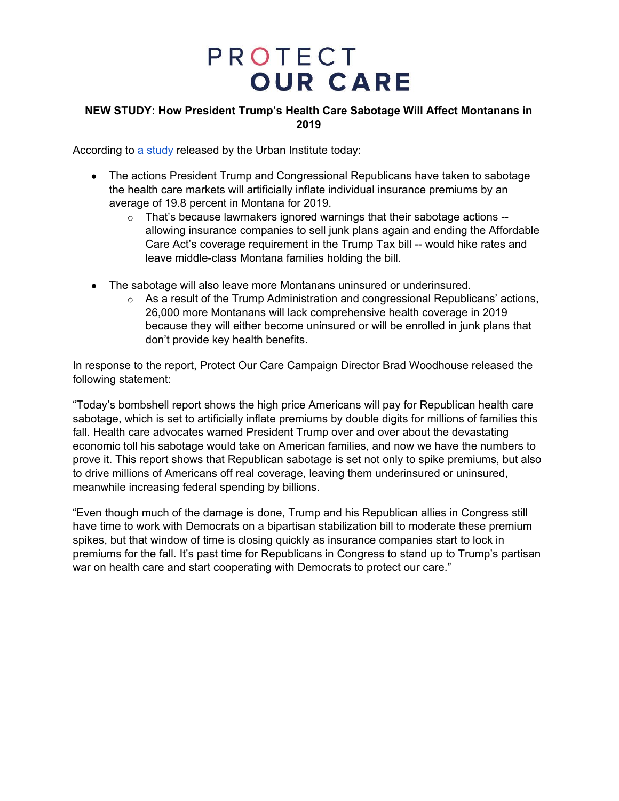### **NEW STUDY: How President Trump's Health Care Sabotage Will Affect Montanans in 2019**

According to a [study](https://www.urban.org/research/publication/potential-impact-short-term-limited-duration-policies-insurance-coverage-premiums-and-federal-spending) released by the Urban Institute today:

- The actions President Trump and Congressional Republicans have taken to sabotage the health care markets will artificially inflate individual insurance premiums by an average of 19.8 percent in Montana for 2019.
	- $\circ$  That's because lawmakers ignored warnings that their sabotage actions -allowing insurance companies to sell junk plans again and ending the Affordable Care Act's coverage requirement in the Trump Tax bill -- would hike rates and leave middle-class Montana families holding the bill.
- The sabotage will also leave more Montanans uninsured or underinsured.
	- $\circ$  As a result of the Trump Administration and congressional Republicans' actions, 26,000 more Montanans will lack comprehensive health coverage in 2019 because they will either become uninsured or will be enrolled in junk plans that don't provide key health benefits.

In response to the report, Protect Our Care Campaign Director Brad Woodhouse released the following statement:

"Today's bombshell report shows the high price Americans will pay for Republican health care sabotage, which is set to artificially inflate premiums by double digits for millions of families this fall. Health care advocates warned President Trump over and over about the devastating economic toll his sabotage would take on American families, and now we have the numbers to prove it. This report shows that Republican sabotage is set not only to spike premiums, but also to drive millions of Americans off real coverage, leaving them underinsured or uninsured, meanwhile increasing federal spending by billions.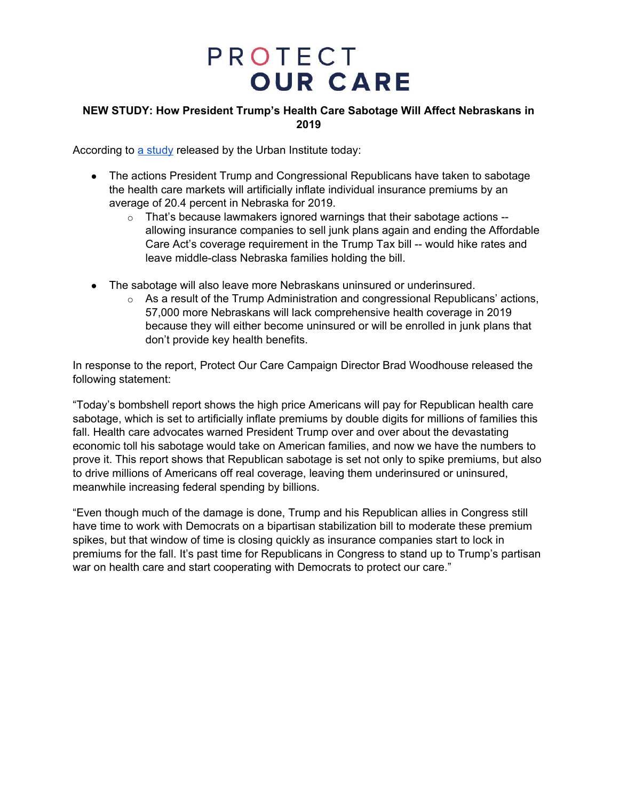### **NEW STUDY: How President Trump's Health Care Sabotage Will Affect Nebraskans in 2019**

According to a [study](https://www.urban.org/research/publication/potential-impact-short-term-limited-duration-policies-insurance-coverage-premiums-and-federal-spending) released by the Urban Institute today:

- The actions President Trump and Congressional Republicans have taken to sabotage the health care markets will artificially inflate individual insurance premiums by an average of 20.4 percent in Nebraska for 2019.
	- o That's because lawmakers ignored warnings that their sabotage actions allowing insurance companies to sell junk plans again and ending the Affordable Care Act's coverage requirement in the Trump Tax bill -- would hike rates and leave middle-class Nebraska families holding the bill.
- The sabotage will also leave more Nebraskans uninsured or underinsured.
	- $\circ$  As a result of the Trump Administration and congressional Republicans' actions, 57,000 more Nebraskans will lack comprehensive health coverage in 2019 because they will either become uninsured or will be enrolled in junk plans that don't provide key health benefits.

In response to the report, Protect Our Care Campaign Director Brad Woodhouse released the following statement:

"Today's bombshell report shows the high price Americans will pay for Republican health care sabotage, which is set to artificially inflate premiums by double digits for millions of families this fall. Health care advocates warned President Trump over and over about the devastating economic toll his sabotage would take on American families, and now we have the numbers to prove it. This report shows that Republican sabotage is set not only to spike premiums, but also to drive millions of Americans off real coverage, leaving them underinsured or uninsured, meanwhile increasing federal spending by billions.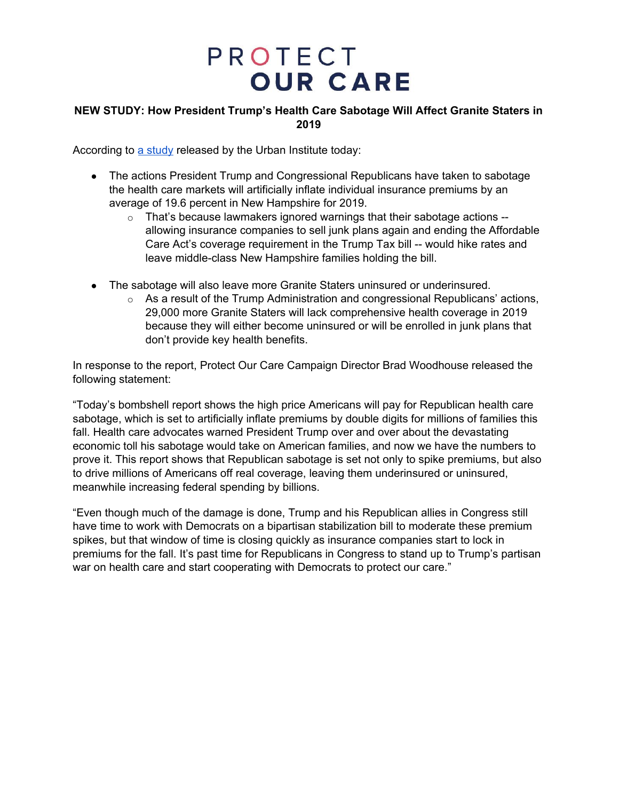### **NEW STUDY: How President Trump's Health Care Sabotage Will Affect Granite Staters in 2019**

According to a [study](https://www.urban.org/research/publication/potential-impact-short-term-limited-duration-policies-insurance-coverage-premiums-and-federal-spending) released by the Urban Institute today:

- The actions President Trump and Congressional Republicans have taken to sabotage the health care markets will artificially inflate individual insurance premiums by an average of 19.6 percent in New Hampshire for 2019.
	- $\circ$  That's because lawmakers ignored warnings that their sabotage actions -allowing insurance companies to sell junk plans again and ending the Affordable Care Act's coverage requirement in the Trump Tax bill -- would hike rates and leave middle-class New Hampshire families holding the bill.
- The sabotage will also leave more Granite Staters uninsured or underinsured.
	- $\circ$  As a result of the Trump Administration and congressional Republicans' actions, 29,000 more Granite Staters will lack comprehensive health coverage in 2019 because they will either become uninsured or will be enrolled in junk plans that don't provide key health benefits.

In response to the report, Protect Our Care Campaign Director Brad Woodhouse released the following statement:

"Today's bombshell report shows the high price Americans will pay for Republican health care sabotage, which is set to artificially inflate premiums by double digits for millions of families this fall. Health care advocates warned President Trump over and over about the devastating economic toll his sabotage would take on American families, and now we have the numbers to prove it. This report shows that Republican sabotage is set not only to spike premiums, but also to drive millions of Americans off real coverage, leaving them underinsured or uninsured, meanwhile increasing federal spending by billions.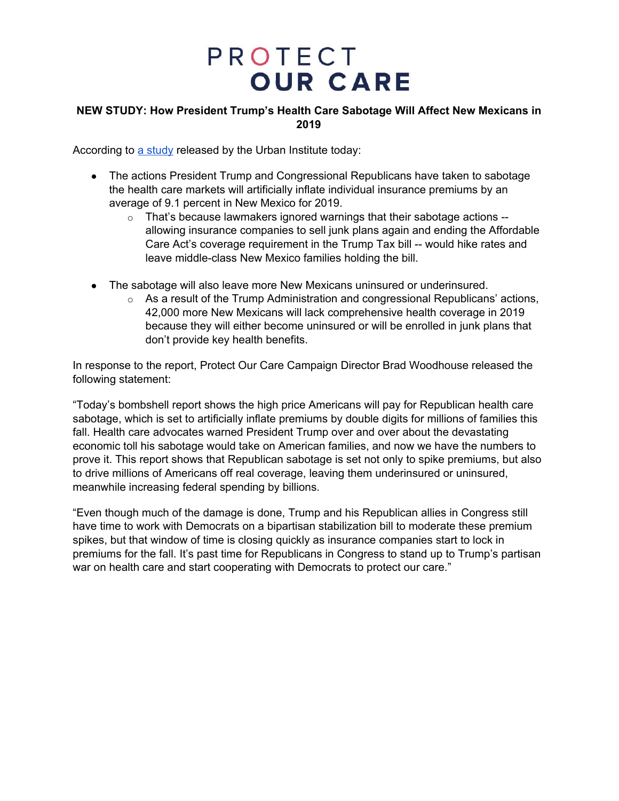### **NEW STUDY: How President Trump's Health Care Sabotage Will Affect New Mexicans in 2019**

According to a [study](https://www.urban.org/research/publication/potential-impact-short-term-limited-duration-policies-insurance-coverage-premiums-and-federal-spending) released by the Urban Institute today:

- The actions President Trump and Congressional Republicans have taken to sabotage the health care markets will artificially inflate individual insurance premiums by an average of 9.1 percent in New Mexico for 2019.
	- $\circ$  That's because lawmakers ignored warnings that their sabotage actions -allowing insurance companies to sell junk plans again and ending the Affordable Care Act's coverage requirement in the Trump Tax bill -- would hike rates and leave middle-class New Mexico families holding the bill.
- The sabotage will also leave more New Mexicans uninsured or underinsured.
	- $\circ$  As a result of the Trump Administration and congressional Republicans' actions, 42,000 more New Mexicans will lack comprehensive health coverage in 2019 because they will either become uninsured or will be enrolled in junk plans that don't provide key health benefits.

In response to the report, Protect Our Care Campaign Director Brad Woodhouse released the following statement:

"Today's bombshell report shows the high price Americans will pay for Republican health care sabotage, which is set to artificially inflate premiums by double digits for millions of families this fall. Health care advocates warned President Trump over and over about the devastating economic toll his sabotage would take on American families, and now we have the numbers to prove it. This report shows that Republican sabotage is set not only to spike premiums, but also to drive millions of Americans off real coverage, leaving them underinsured or uninsured, meanwhile increasing federal spending by billions.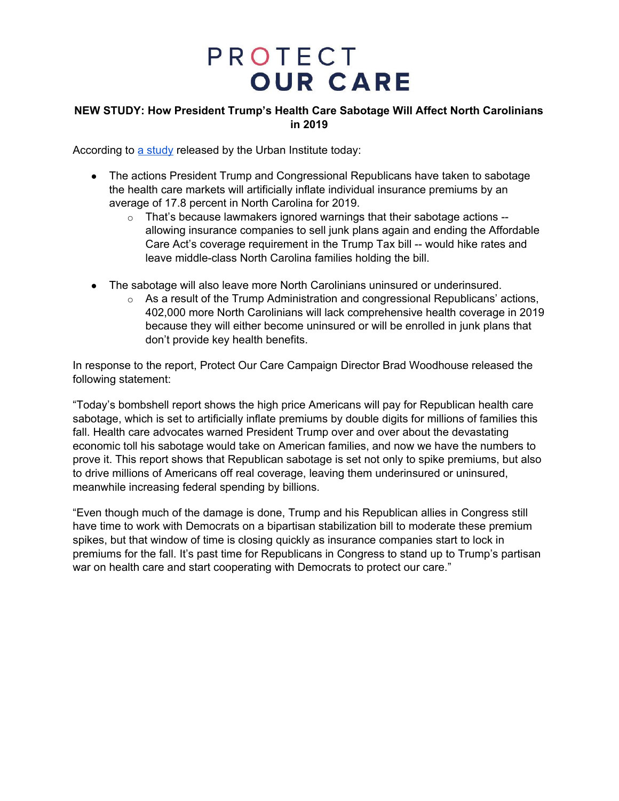### **NEW STUDY: How President Trump's Health Care Sabotage Will Affect North Carolinians in 2019**

According to a [study](https://www.urban.org/research/publication/potential-impact-short-term-limited-duration-policies-insurance-coverage-premiums-and-federal-spending) released by the Urban Institute today:

- The actions President Trump and Congressional Republicans have taken to sabotage the health care markets will artificially inflate individual insurance premiums by an average of 17.8 percent in North Carolina for 2019.
	- o That's because lawmakers ignored warnings that their sabotage actions allowing insurance companies to sell junk plans again and ending the Affordable Care Act's coverage requirement in the Trump Tax bill -- would hike rates and leave middle-class North Carolina families holding the bill.
- The sabotage will also leave more North Carolinians uninsured or underinsured.
	- $\circ$  As a result of the Trump Administration and congressional Republicans' actions, 402,000 more North Carolinians will lack comprehensive health coverage in 2019 because they will either become uninsured or will be enrolled in junk plans that don't provide key health benefits.

In response to the report, Protect Our Care Campaign Director Brad Woodhouse released the following statement:

"Today's bombshell report shows the high price Americans will pay for Republican health care sabotage, which is set to artificially inflate premiums by double digits for millions of families this fall. Health care advocates warned President Trump over and over about the devastating economic toll his sabotage would take on American families, and now we have the numbers to prove it. This report shows that Republican sabotage is set not only to spike premiums, but also to drive millions of Americans off real coverage, leaving them underinsured or uninsured, meanwhile increasing federal spending by billions.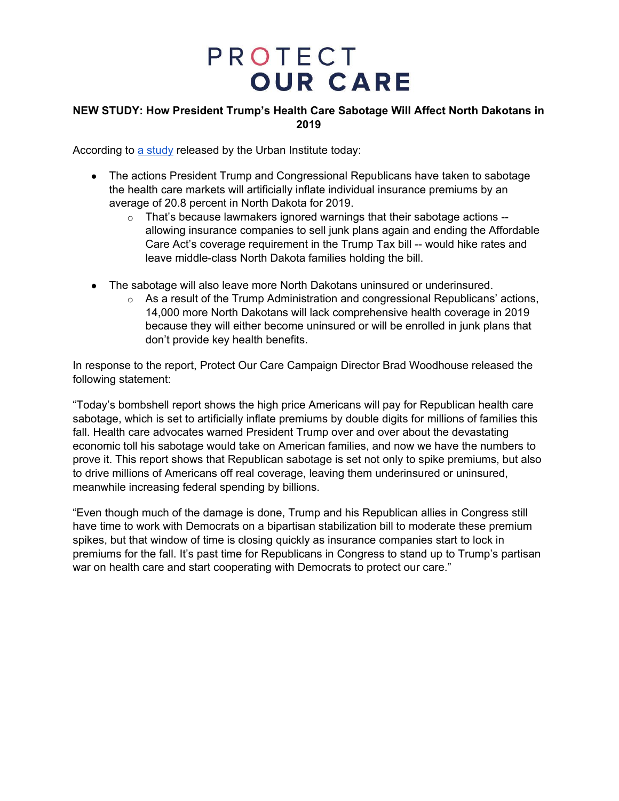### **NEW STUDY: How President Trump's Health Care Sabotage Will Affect North Dakotans in 2019**

According to a [study](https://www.urban.org/research/publication/potential-impact-short-term-limited-duration-policies-insurance-coverage-premiums-and-federal-spending) released by the Urban Institute today:

- The actions President Trump and Congressional Republicans have taken to sabotage the health care markets will artificially inflate individual insurance premiums by an average of 20.8 percent in North Dakota for 2019.
	- o That's because lawmakers ignored warnings that their sabotage actions allowing insurance companies to sell junk plans again and ending the Affordable Care Act's coverage requirement in the Trump Tax bill -- would hike rates and leave middle-class North Dakota families holding the bill.
- The sabotage will also leave more North Dakotans uninsured or underinsured.
	- $\circ$  As a result of the Trump Administration and congressional Republicans' actions, 14,000 more North Dakotans will lack comprehensive health coverage in 2019 because they will either become uninsured or will be enrolled in junk plans that don't provide key health benefits.

In response to the report, Protect Our Care Campaign Director Brad Woodhouse released the following statement:

"Today's bombshell report shows the high price Americans will pay for Republican health care sabotage, which is set to artificially inflate premiums by double digits for millions of families this fall. Health care advocates warned President Trump over and over about the devastating economic toll his sabotage would take on American families, and now we have the numbers to prove it. This report shows that Republican sabotage is set not only to spike premiums, but also to drive millions of Americans off real coverage, leaving them underinsured or uninsured, meanwhile increasing federal spending by billions.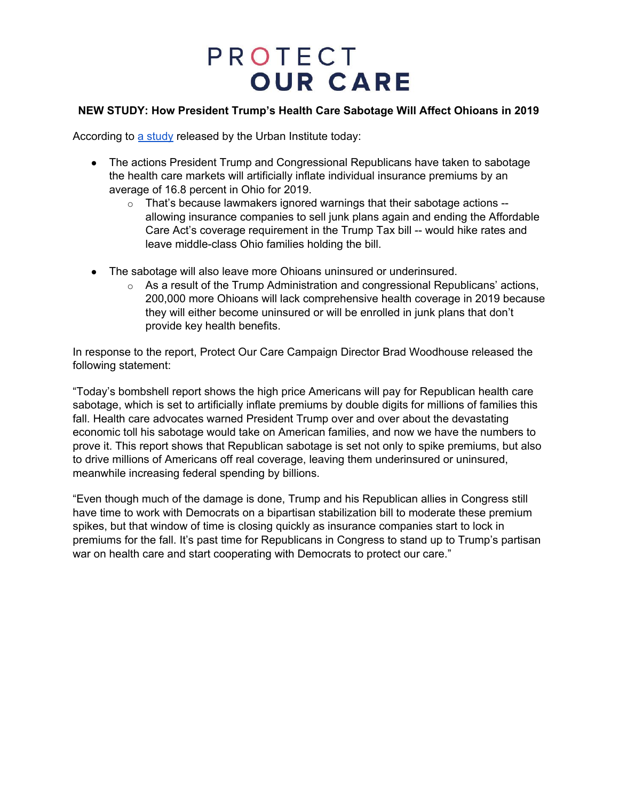### **NEW STUDY: How President Trump's Health Care Sabotage Will Affect Ohioans in 2019**

According to a [study](https://www.urban.org/research/publication/potential-impact-short-term-limited-duration-policies-insurance-coverage-premiums-and-federal-spending) released by the Urban Institute today:

- The actions President Trump and Congressional Republicans have taken to sabotage the health care markets will artificially inflate individual insurance premiums by an average of 16.8 percent in Ohio for 2019.
	- $\circ$  That's because lawmakers ignored warnings that their sabotage actions  $$ allowing insurance companies to sell junk plans again and ending the Affordable Care Act's coverage requirement in the Trump Tax bill -- would hike rates and leave middle-class Ohio families holding the bill.
- The sabotage will also leave more Ohioans uninsured or underinsured.
	- $\circ$  As a result of the Trump Administration and congressional Republicans' actions, 200,000 more Ohioans will lack comprehensive health coverage in 2019 because they will either become uninsured or will be enrolled in junk plans that don't provide key health benefits.

In response to the report, Protect Our Care Campaign Director Brad Woodhouse released the following statement:

"Today's bombshell report shows the high price Americans will pay for Republican health care sabotage, which is set to artificially inflate premiums by double digits for millions of families this fall. Health care advocates warned President Trump over and over about the devastating economic toll his sabotage would take on American families, and now we have the numbers to prove it. This report shows that Republican sabotage is set not only to spike premiums, but also to drive millions of Americans off real coverage, leaving them underinsured or uninsured, meanwhile increasing federal spending by billions.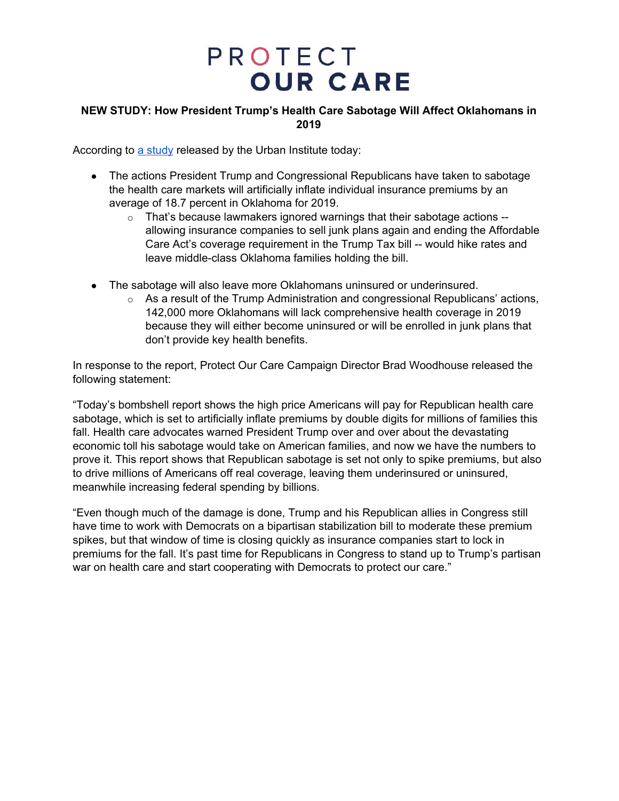### **NEW STUDY: How President Trump's Health Care Sabotage Will Affect Oklahomans in 2019**

According to a [study](https://www.urban.org/research/publication/potential-impact-short-term-limited-duration-policies-insurance-coverage-premiums-and-federal-spending) released by the Urban Institute today:

- The actions President Trump and Congressional Republicans have taken to sabotage the health care markets will artificially inflate individual insurance premiums by an average of 18.7 percent in Oklahoma for 2019.
	- $\circ$  That's because lawmakers ignored warnings that their sabotage actions -allowing insurance companies to sell junk plans again and ending the Affordable Care Act's coverage requirement in the Trump Tax bill -- would hike rates and leave middle-class Oklahoma families holding the bill.
- The sabotage will also leave more Oklahomans uninsured or underinsured.
	- $\circ$  As a result of the Trump Administration and congressional Republicans' actions, 142,000 more Oklahomans will lack comprehensive health coverage in 2019 because they will either become uninsured or will be enrolled in junk plans that don't provide key health benefits.

In response to the report, Protect Our Care Campaign Director Brad Woodhouse released the following statement:

"Today's bombshell report shows the high price Americans will pay for Republican health care sabotage, which is set to artificially inflate premiums by double digits for millions of families this fall. Health care advocates warned President Trump over and over about the devastating economic toll his sabotage would take on American families, and now we have the numbers to prove it. This report shows that Republican sabotage is set not only to spike premiums, but also to drive millions of Americans off real coverage, leaving them underinsured or uninsured, meanwhile increasing federal spending by billions.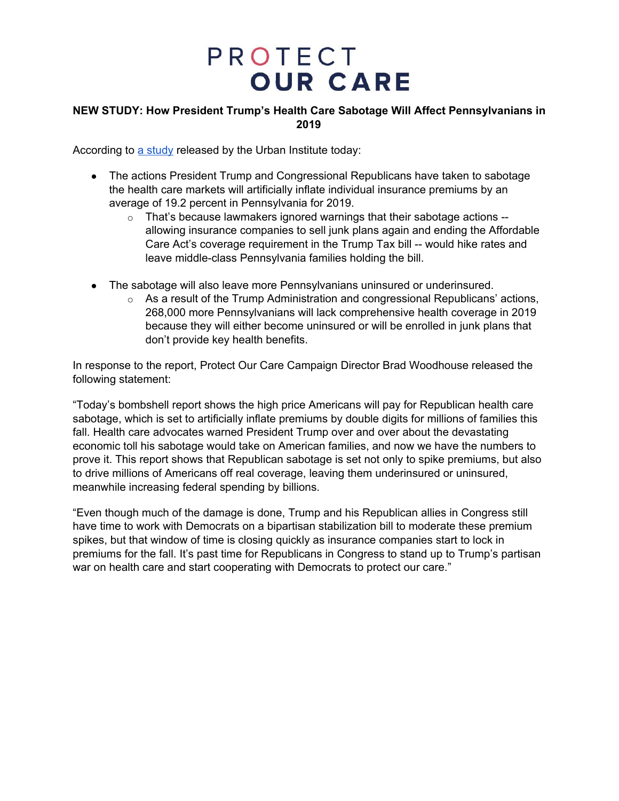### **NEW STUDY: How President Trump's Health Care Sabotage Will Affect Pennsylvanians in 2019**

According to a [study](https://www.urban.org/research/publication/potential-impact-short-term-limited-duration-policies-insurance-coverage-premiums-and-federal-spending) released by the Urban Institute today:

- The actions President Trump and Congressional Republicans have taken to sabotage the health care markets will artificially inflate individual insurance premiums by an average of 19.2 percent in Pennsylvania for 2019.
	- $\circ$  That's because lawmakers ignored warnings that their sabotage actions  $$ allowing insurance companies to sell junk plans again and ending the Affordable Care Act's coverage requirement in the Trump Tax bill -- would hike rates and leave middle-class Pennsylvania families holding the bill.
- The sabotage will also leave more Pennsylvanians uninsured or underinsured.
	- $\circ$  As a result of the Trump Administration and congressional Republicans' actions, 268,000 more Pennsylvanians will lack comprehensive health coverage in 2019 because they will either become uninsured or will be enrolled in junk plans that don't provide key health benefits.

In response to the report, Protect Our Care Campaign Director Brad Woodhouse released the following statement:

"Today's bombshell report shows the high price Americans will pay for Republican health care sabotage, which is set to artificially inflate premiums by double digits for millions of families this fall. Health care advocates warned President Trump over and over about the devastating economic toll his sabotage would take on American families, and now we have the numbers to prove it. This report shows that Republican sabotage is set not only to spike premiums, but also to drive millions of Americans off real coverage, leaving them underinsured or uninsured, meanwhile increasing federal spending by billions.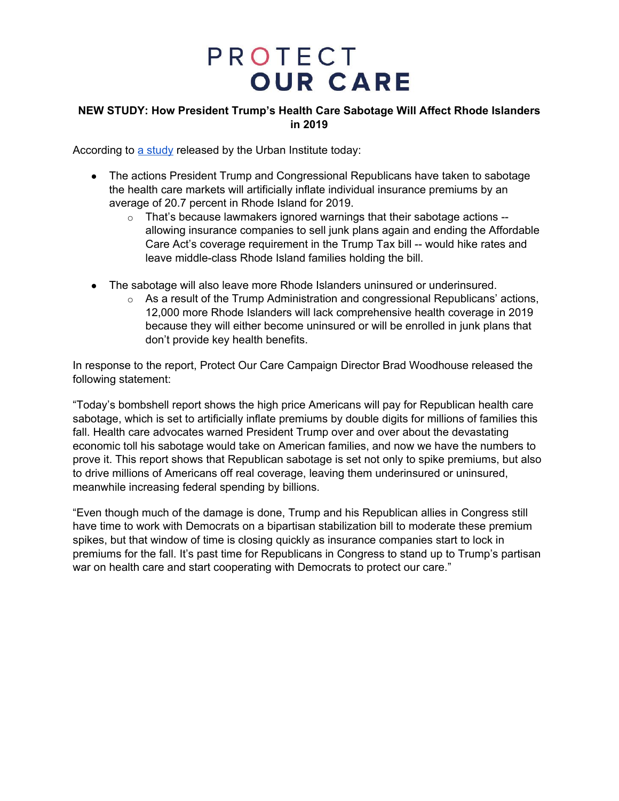### **NEW STUDY: How President Trump's Health Care Sabotage Will Affect Rhode Islanders in 2019**

According to a [study](https://www.urban.org/research/publication/potential-impact-short-term-limited-duration-policies-insurance-coverage-premiums-and-federal-spending) released by the Urban Institute today:

- The actions President Trump and Congressional Republicans have taken to sabotage the health care markets will artificially inflate individual insurance premiums by an average of 20.7 percent in Rhode Island for 2019.
	- o That's because lawmakers ignored warnings that their sabotage actions allowing insurance companies to sell junk plans again and ending the Affordable Care Act's coverage requirement in the Trump Tax bill -- would hike rates and leave middle-class Rhode Island families holding the bill.
- The sabotage will also leave more Rhode Islanders uninsured or underinsured.
	- $\circ$  As a result of the Trump Administration and congressional Republicans' actions, 12,000 more Rhode Islanders will lack comprehensive health coverage in 2019 because they will either become uninsured or will be enrolled in junk plans that don't provide key health benefits.

In response to the report, Protect Our Care Campaign Director Brad Woodhouse released the following statement:

"Today's bombshell report shows the high price Americans will pay for Republican health care sabotage, which is set to artificially inflate premiums by double digits for millions of families this fall. Health care advocates warned President Trump over and over about the devastating economic toll his sabotage would take on American families, and now we have the numbers to prove it. This report shows that Republican sabotage is set not only to spike premiums, but also to drive millions of Americans off real coverage, leaving them underinsured or uninsured, meanwhile increasing federal spending by billions.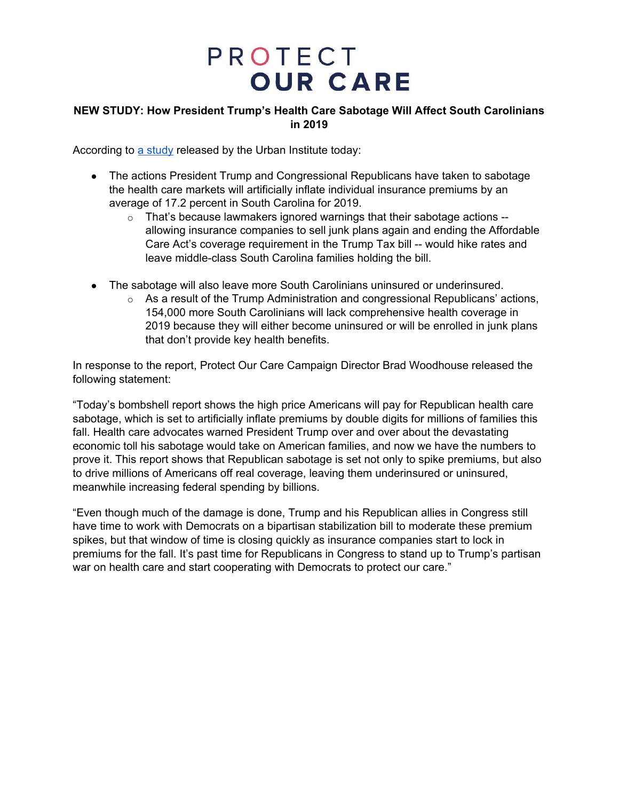### **NEW STUDY: How President Trump's Health Care Sabotage Will Affect South Carolinians in 2019**

According to a [study](https://www.urban.org/research/publication/potential-impact-short-term-limited-duration-policies-insurance-coverage-premiums-and-federal-spending) released by the Urban Institute today:

- The actions President Trump and Congressional Republicans have taken to sabotage the health care markets will artificially inflate individual insurance premiums by an average of 17.2 percent in South Carolina for 2019.
	- o That's because lawmakers ignored warnings that their sabotage actions allowing insurance companies to sell junk plans again and ending the Affordable Care Act's coverage requirement in the Trump Tax bill -- would hike rates and leave middle-class South Carolina families holding the bill.
- The sabotage will also leave more South Carolinians uninsured or underinsured.
	- $\circ$  As a result of the Trump Administration and congressional Republicans' actions, 154,000 more South Carolinians will lack comprehensive health coverage in 2019 because they will either become uninsured or will be enrolled in junk plans that don't provide key health benefits.

In response to the report, Protect Our Care Campaign Director Brad Woodhouse released the following statement:

"Today's bombshell report shows the high price Americans will pay for Republican health care sabotage, which is set to artificially inflate premiums by double digits for millions of families this fall. Health care advocates warned President Trump over and over about the devastating economic toll his sabotage would take on American families, and now we have the numbers to prove it. This report shows that Republican sabotage is set not only to spike premiums, but also to drive millions of Americans off real coverage, leaving them underinsured or uninsured, meanwhile increasing federal spending by billions.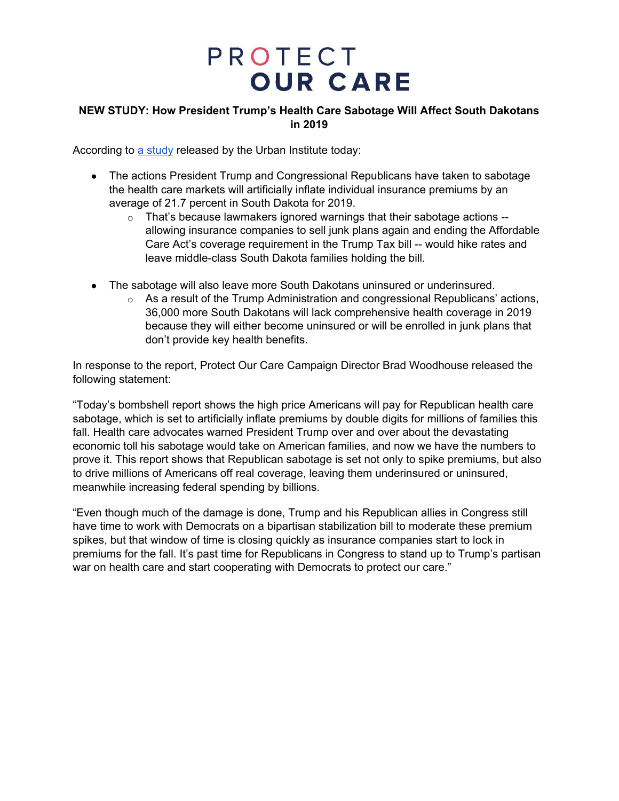### **NEW STUDY: How President Trump's Health Care Sabotage Will Affect South Dakotans in 2019**

According to a [study](https://www.urban.org/research/publication/potential-impact-short-term-limited-duration-policies-insurance-coverage-premiums-and-federal-spending) released by the Urban Institute today:

- The actions President Trump and Congressional Republicans have taken to sabotage the health care markets will artificially inflate individual insurance premiums by an average of 21.7 percent in South Dakota for 2019.
	- o That's because lawmakers ignored warnings that their sabotage actions allowing insurance companies to sell junk plans again and ending the Affordable Care Act's coverage requirement in the Trump Tax bill -- would hike rates and leave middle-class South Dakota families holding the bill.
- The sabotage will also leave more South Dakotans uninsured or underinsured.
	- $\circ$  As a result of the Trump Administration and congressional Republicans' actions, 36,000 more South Dakotans will lack comprehensive health coverage in 2019 because they will either become uninsured or will be enrolled in junk plans that don't provide key health benefits.

In response to the report, Protect Our Care Campaign Director Brad Woodhouse released the following statement:

"Today's bombshell report shows the high price Americans will pay for Republican health care sabotage, which is set to artificially inflate premiums by double digits for millions of families this fall. Health care advocates warned President Trump over and over about the devastating economic toll his sabotage would take on American families, and now we have the numbers to prove it. This report shows that Republican sabotage is set not only to spike premiums, but also to drive millions of Americans off real coverage, leaving them underinsured or uninsured, meanwhile increasing federal spending by billions.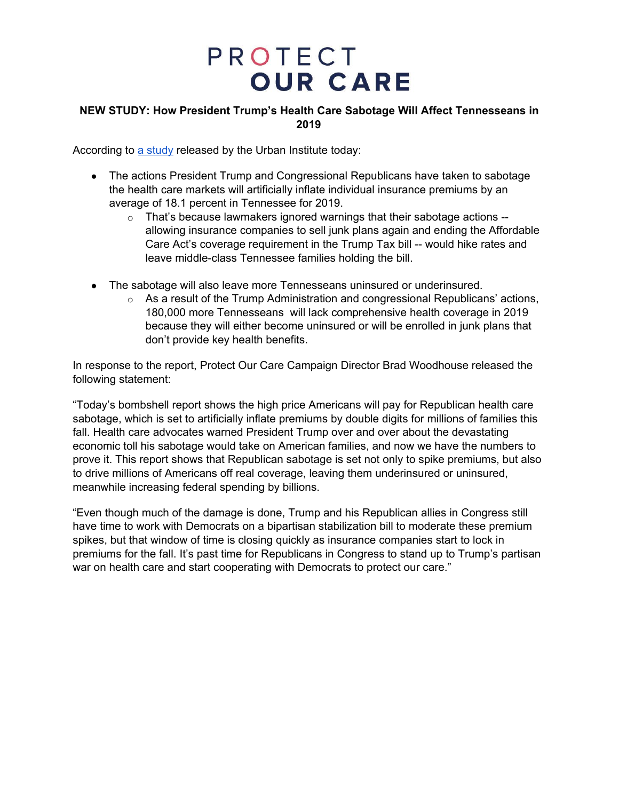### **NEW STUDY: How President Trump's Health Care Sabotage Will Affect Tennesseans in 2019**

According to a [study](https://www.urban.org/research/publication/potential-impact-short-term-limited-duration-policies-insurance-coverage-premiums-and-federal-spending) released by the Urban Institute today:

- The actions President Trump and Congressional Republicans have taken to sabotage the health care markets will artificially inflate individual insurance premiums by an average of 18.1 percent in Tennessee for 2019.
	- o That's because lawmakers ignored warnings that their sabotage actions allowing insurance companies to sell junk plans again and ending the Affordable Care Act's coverage requirement in the Trump Tax bill -- would hike rates and leave middle-class Tennessee families holding the bill.
- The sabotage will also leave more Tennesseans uninsured or underinsured.
	- $\circ$  As a result of the Trump Administration and congressional Republicans' actions, 180,000 more Tennesseans will lack comprehensive health coverage in 2019 because they will either become uninsured or will be enrolled in junk plans that don't provide key health benefits.

In response to the report, Protect Our Care Campaign Director Brad Woodhouse released the following statement:

"Today's bombshell report shows the high price Americans will pay for Republican health care sabotage, which is set to artificially inflate premiums by double digits for millions of families this fall. Health care advocates warned President Trump over and over about the devastating economic toll his sabotage would take on American families, and now we have the numbers to prove it. This report shows that Republican sabotage is set not only to spike premiums, but also to drive millions of Americans off real coverage, leaving them underinsured or uninsured, meanwhile increasing federal spending by billions.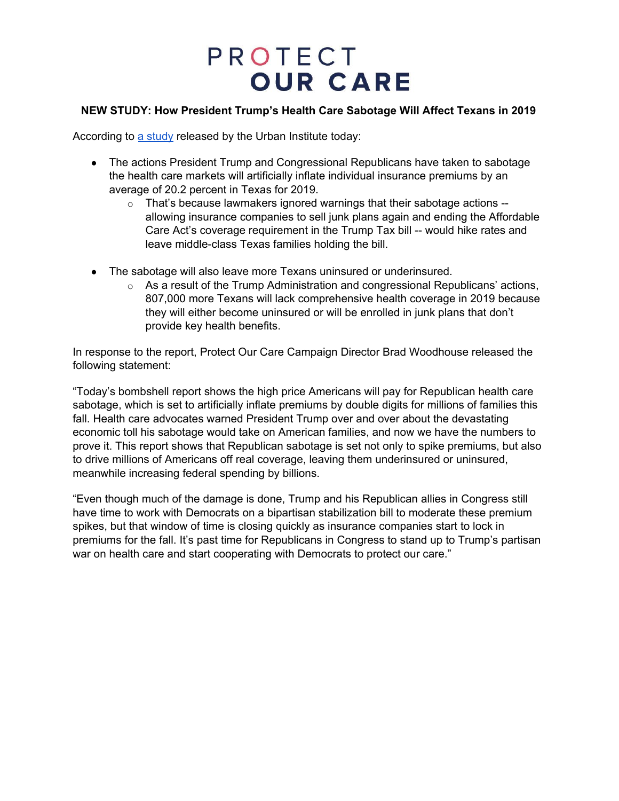### **NEW STUDY: How President Trump's Health Care Sabotage Will Affect Texans in 2019**

According to a [study](https://www.urban.org/research/publication/potential-impact-short-term-limited-duration-policies-insurance-coverage-premiums-and-federal-spending) released by the Urban Institute today:

- The actions President Trump and Congressional Republicans have taken to sabotage the health care markets will artificially inflate individual insurance premiums by an average of 20.2 percent in Texas for 2019.
	- $\circ$  That's because lawmakers ignored warnings that their sabotage actions  $$ allowing insurance companies to sell junk plans again and ending the Affordable Care Act's coverage requirement in the Trump Tax bill -- would hike rates and leave middle-class Texas families holding the bill.
- The sabotage will also leave more Texans uninsured or underinsured.
	- $\circ$  As a result of the Trump Administration and congressional Republicans' actions, 807,000 more Texans will lack comprehensive health coverage in 2019 because they will either become uninsured or will be enrolled in junk plans that don't provide key health benefits.

In response to the report, Protect Our Care Campaign Director Brad Woodhouse released the following statement:

"Today's bombshell report shows the high price Americans will pay for Republican health care sabotage, which is set to artificially inflate premiums by double digits for millions of families this fall. Health care advocates warned President Trump over and over about the devastating economic toll his sabotage would take on American families, and now we have the numbers to prove it. This report shows that Republican sabotage is set not only to spike premiums, but also to drive millions of Americans off real coverage, leaving them underinsured or uninsured, meanwhile increasing federal spending by billions.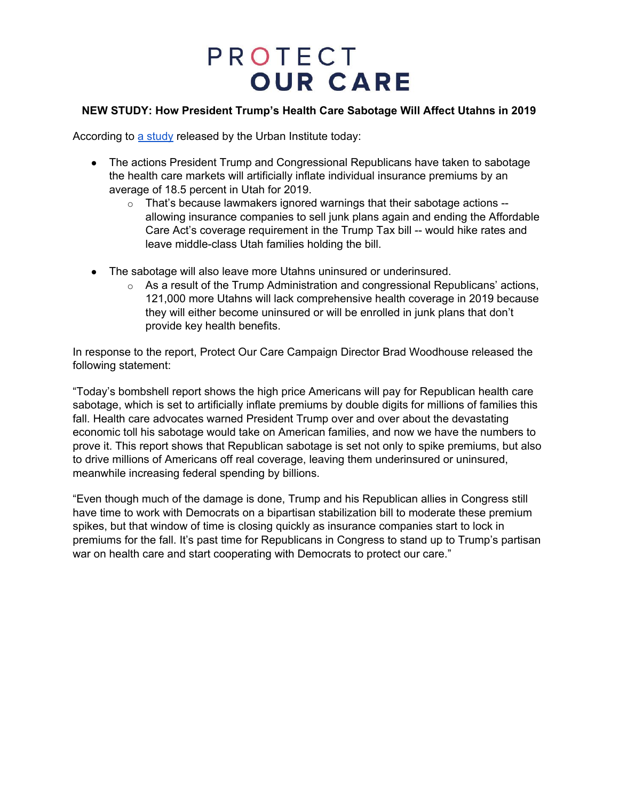### **NEW STUDY: How President Trump's Health Care Sabotage Will Affect Utahns in 2019**

According to a [study](https://www.urban.org/research/publication/potential-impact-short-term-limited-duration-policies-insurance-coverage-premiums-and-federal-spending) released by the Urban Institute today:

- The actions President Trump and Congressional Republicans have taken to sabotage the health care markets will artificially inflate individual insurance premiums by an average of 18.5 percent in Utah for 2019.
	- $\circ$  That's because lawmakers ignored warnings that their sabotage actions  $$ allowing insurance companies to sell junk plans again and ending the Affordable Care Act's coverage requirement in the Trump Tax bill -- would hike rates and leave middle-class Utah families holding the bill.
- The sabotage will also leave more Utahns uninsured or underinsured.
	- $\circ$  As a result of the Trump Administration and congressional Republicans' actions, 121,000 more Utahns will lack comprehensive health coverage in 2019 because they will either become uninsured or will be enrolled in junk plans that don't provide key health benefits.

In response to the report, Protect Our Care Campaign Director Brad Woodhouse released the following statement:

"Today's bombshell report shows the high price Americans will pay for Republican health care sabotage, which is set to artificially inflate premiums by double digits for millions of families this fall. Health care advocates warned President Trump over and over about the devastating economic toll his sabotage would take on American families, and now we have the numbers to prove it. This report shows that Republican sabotage is set not only to spike premiums, but also to drive millions of Americans off real coverage, leaving them underinsured or uninsured, meanwhile increasing federal spending by billions.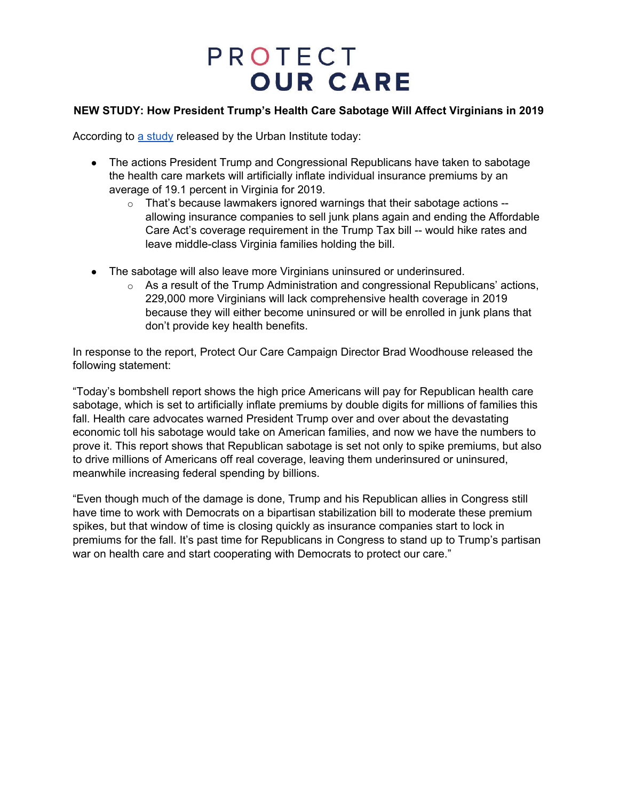### **NEW STUDY: How President Trump's Health Care Sabotage Will Affect Virginians in 2019**

According to a [study](https://www.urban.org/research/publication/potential-impact-short-term-limited-duration-policies-insurance-coverage-premiums-and-federal-spending) released by the Urban Institute today:

- The actions President Trump and Congressional Republicans have taken to sabotage the health care markets will artificially inflate individual insurance premiums by an average of 19.1 percent in Virginia for 2019.
	- $\circ$  That's because lawmakers ignored warnings that their sabotage actions  $$ allowing insurance companies to sell junk plans again and ending the Affordable Care Act's coverage requirement in the Trump Tax bill -- would hike rates and leave middle-class Virginia families holding the bill.
- The sabotage will also leave more Virginians uninsured or underinsured.
	- $\circ$  As a result of the Trump Administration and congressional Republicans' actions, 229,000 more Virginians will lack comprehensive health coverage in 2019 because they will either become uninsured or will be enrolled in junk plans that don't provide key health benefits.

In response to the report, Protect Our Care Campaign Director Brad Woodhouse released the following statement:

"Today's bombshell report shows the high price Americans will pay for Republican health care sabotage, which is set to artificially inflate premiums by double digits for millions of families this fall. Health care advocates warned President Trump over and over about the devastating economic toll his sabotage would take on American families, and now we have the numbers to prove it. This report shows that Republican sabotage is set not only to spike premiums, but also to drive millions of Americans off real coverage, leaving them underinsured or uninsured, meanwhile increasing federal spending by billions.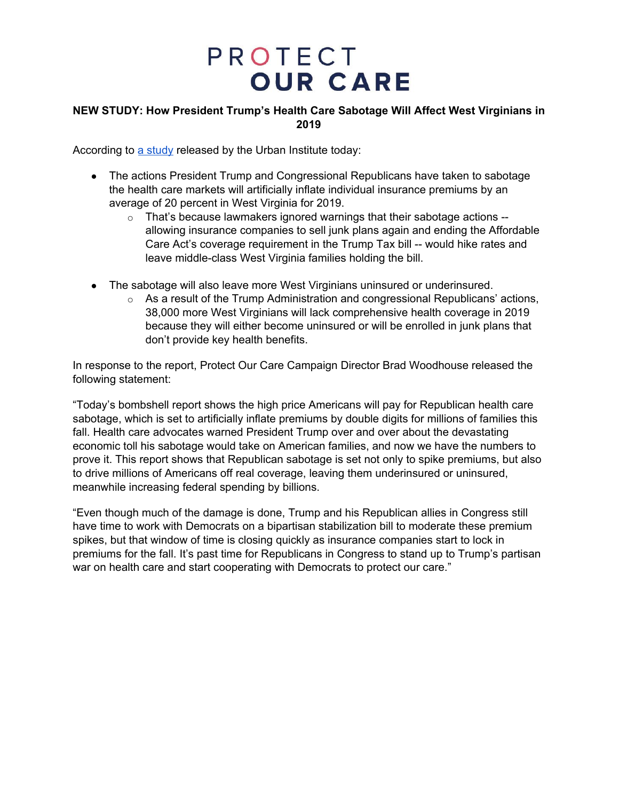### **NEW STUDY: How President Trump's Health Care Sabotage Will Affect West Virginians in 2019**

According to a [study](https://www.urban.org/research/publication/potential-impact-short-term-limited-duration-policies-insurance-coverage-premiums-and-federal-spending) released by the Urban Institute today:

- The actions President Trump and Congressional Republicans have taken to sabotage the health care markets will artificially inflate individual insurance premiums by an average of 20 percent in West Virginia for 2019.
	- $\circ$  That's because lawmakers ignored warnings that their sabotage actions  $$ allowing insurance companies to sell junk plans again and ending the Affordable Care Act's coverage requirement in the Trump Tax bill -- would hike rates and leave middle-class West Virginia families holding the bill.
- The sabotage will also leave more West Virginians uninsured or underinsured.
	- $\circ$  As a result of the Trump Administration and congressional Republicans' actions, 38,000 more West Virginians will lack comprehensive health coverage in 2019 because they will either become uninsured or will be enrolled in junk plans that don't provide key health benefits.

In response to the report, Protect Our Care Campaign Director Brad Woodhouse released the following statement:

"Today's bombshell report shows the high price Americans will pay for Republican health care sabotage, which is set to artificially inflate premiums by double digits for millions of families this fall. Health care advocates warned President Trump over and over about the devastating economic toll his sabotage would take on American families, and now we have the numbers to prove it. This report shows that Republican sabotage is set not only to spike premiums, but also to drive millions of Americans off real coverage, leaving them underinsured or uninsured, meanwhile increasing federal spending by billions.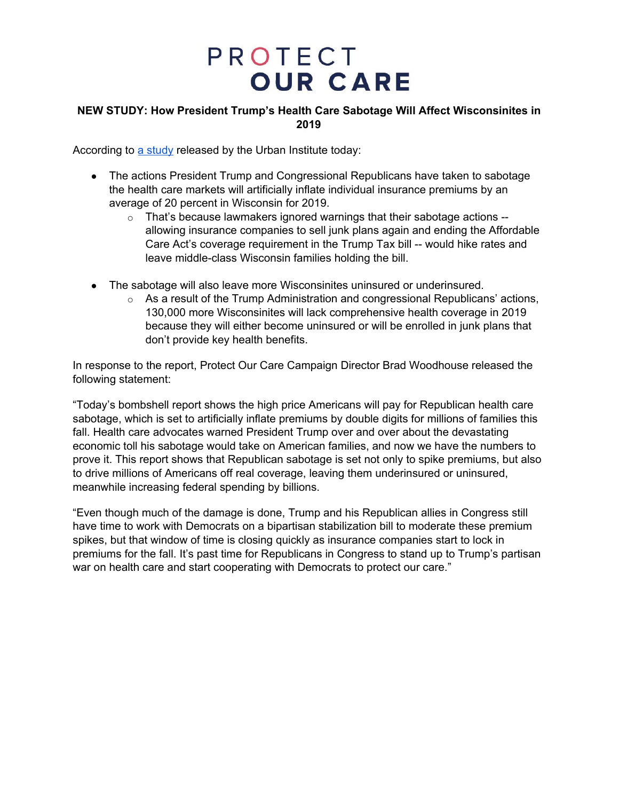### **NEW STUDY: How President Trump's Health Care Sabotage Will Affect Wisconsinites in 2019**

According to a [study](https://www.urban.org/research/publication/potential-impact-short-term-limited-duration-policies-insurance-coverage-premiums-and-federal-spending) released by the Urban Institute today:

- The actions President Trump and Congressional Republicans have taken to sabotage the health care markets will artificially inflate individual insurance premiums by an average of 20 percent in Wisconsin for 2019.
	- o That's because lawmakers ignored warnings that their sabotage actions allowing insurance companies to sell junk plans again and ending the Affordable Care Act's coverage requirement in the Trump Tax bill -- would hike rates and leave middle-class Wisconsin families holding the bill.
- The sabotage will also leave more Wisconsinites uninsured or underinsured.
	- $\circ$  As a result of the Trump Administration and congressional Republicans' actions, 130,000 more Wisconsinites will lack comprehensive health coverage in 2019 because they will either become uninsured or will be enrolled in junk plans that don't provide key health benefits.

In response to the report, Protect Our Care Campaign Director Brad Woodhouse released the following statement:

"Today's bombshell report shows the high price Americans will pay for Republican health care sabotage, which is set to artificially inflate premiums by double digits for millions of families this fall. Health care advocates warned President Trump over and over about the devastating economic toll his sabotage would take on American families, and now we have the numbers to prove it. This report shows that Republican sabotage is set not only to spike premiums, but also to drive millions of Americans off real coverage, leaving them underinsured or uninsured, meanwhile increasing federal spending by billions.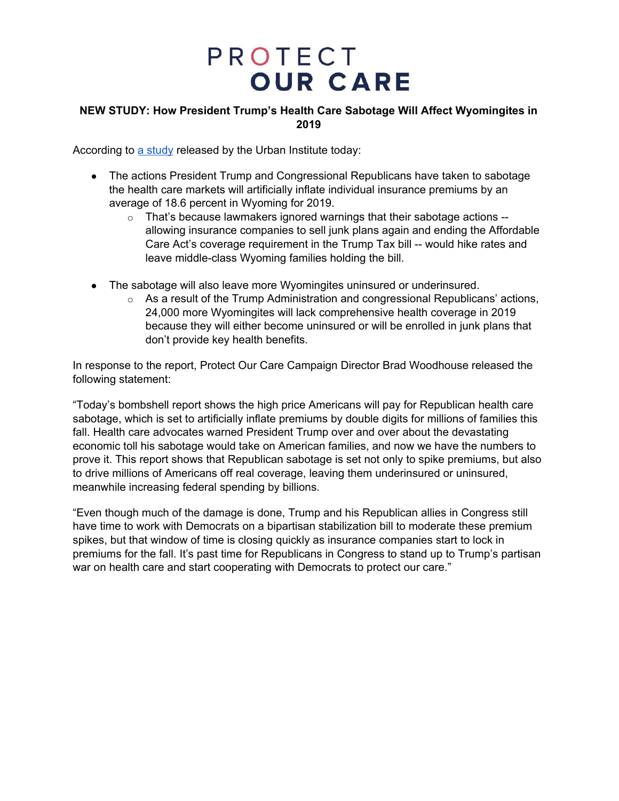### **NEW STUDY: How President Trump's Health Care Sabotage Will Affect Wyomingites in 2019**

According to a [study](https://www.urban.org/research/publication/potential-impact-short-term-limited-duration-policies-insurance-coverage-premiums-and-federal-spending) released by the Urban Institute today:

- The actions President Trump and Congressional Republicans have taken to sabotage the health care markets will artificially inflate individual insurance premiums by an average of 18.6 percent in Wyoming for 2019.
	- $\circ$  That's because lawmakers ignored warnings that their sabotage actions -allowing insurance companies to sell junk plans again and ending the Affordable Care Act's coverage requirement in the Trump Tax bill -- would hike rates and leave middle-class Wyoming families holding the bill.
- The sabotage will also leave more Wyomingites uninsured or underinsured.
	- $\circ$  As a result of the Trump Administration and congressional Republicans' actions, 24,000 more Wyomingites will lack comprehensive health coverage in 2019 because they will either become uninsured or will be enrolled in junk plans that don't provide key health benefits.

In response to the report, Protect Our Care Campaign Director Brad Woodhouse released the following statement:

"Today's bombshell report shows the high price Americans will pay for Republican health care sabotage, which is set to artificially inflate premiums by double digits for millions of families this fall. Health care advocates warned President Trump over and over about the devastating economic toll his sabotage would take on American families, and now we have the numbers to prove it. This report shows that Republican sabotage is set not only to spike premiums, but also to drive millions of Americans off real coverage, leaving them underinsured or uninsured, meanwhile increasing federal spending by billions.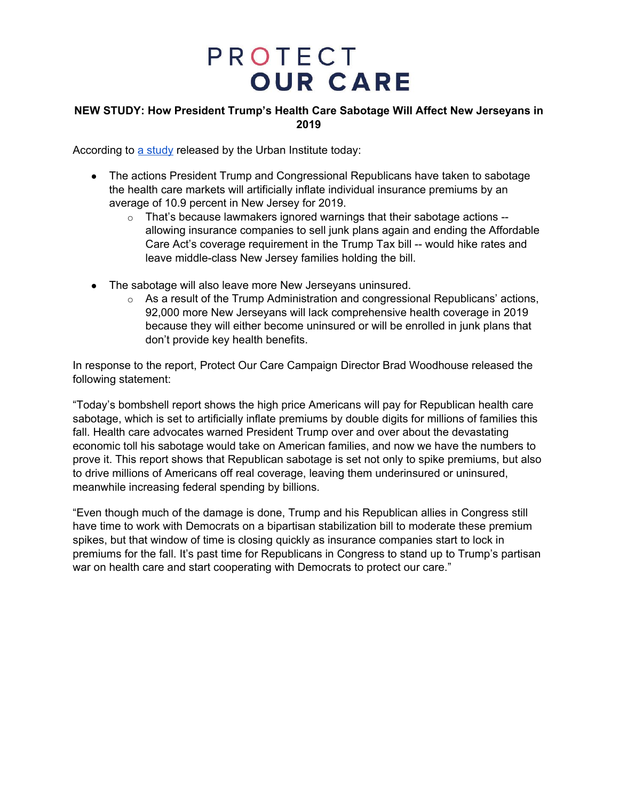### **NEW STUDY: How President Trump's Health Care Sabotage Will Affect New Jerseyans in 2019**

According to a [study](https://www.urban.org/research/publication/potential-impact-short-term-limited-duration-policies-insurance-coverage-premiums-and-federal-spending) released by the Urban Institute today:

- The actions President Trump and Congressional Republicans have taken to sabotage the health care markets will artificially inflate individual insurance premiums by an average of 10.9 percent in New Jersey for 2019.
	- $\circ$  That's because lawmakers ignored warnings that their sabotage actions  $$ allowing insurance companies to sell junk plans again and ending the Affordable Care Act's coverage requirement in the Trump Tax bill -- would hike rates and leave middle-class New Jersey families holding the bill.
- The sabotage will also leave more New Jerseyans uninsured.
	- $\circ$  As a result of the Trump Administration and congressional Republicans' actions, 92,000 more New Jerseyans will lack comprehensive health coverage in 2019 because they will either become uninsured or will be enrolled in junk plans that don't provide key health benefits.

In response to the report, Protect Our Care Campaign Director Brad Woodhouse released the following statement:

"Today's bombshell report shows the high price Americans will pay for Republican health care sabotage, which is set to artificially inflate premiums by double digits for millions of families this fall. Health care advocates warned President Trump over and over about the devastating economic toll his sabotage would take on American families, and now we have the numbers to prove it. This report shows that Republican sabotage is set not only to spike premiums, but also to drive millions of Americans off real coverage, leaving them underinsured or uninsured, meanwhile increasing federal spending by billions.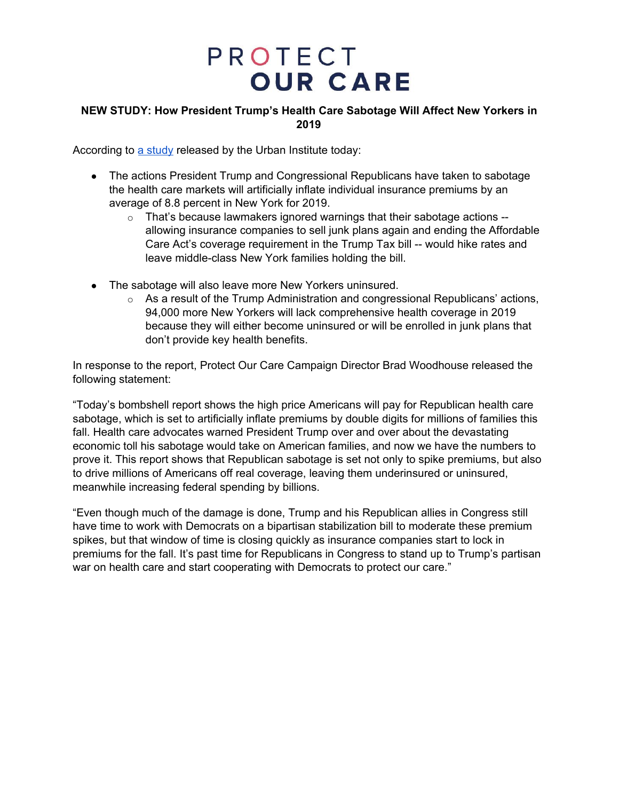### **NEW STUDY: How President Trump's Health Care Sabotage Will Affect New Yorkers in 2019**

According to a [study](https://www.urban.org/research/publication/potential-impact-short-term-limited-duration-policies-insurance-coverage-premiums-and-federal-spending) released by the Urban Institute today:

- The actions President Trump and Congressional Republicans have taken to sabotage the health care markets will artificially inflate individual insurance premiums by an average of 8.8 percent in New York for 2019.
	- o That's because lawmakers ignored warnings that their sabotage actions allowing insurance companies to sell junk plans again and ending the Affordable Care Act's coverage requirement in the Trump Tax bill -- would hike rates and leave middle-class New York families holding the bill.
- The sabotage will also leave more New Yorkers uninsured.
	- $\circ$  As a result of the Trump Administration and congressional Republicans' actions, 94,000 more New Yorkers will lack comprehensive health coverage in 2019 because they will either become uninsured or will be enrolled in junk plans that don't provide key health benefits.

In response to the report, Protect Our Care Campaign Director Brad Woodhouse released the following statement:

"Today's bombshell report shows the high price Americans will pay for Republican health care sabotage, which is set to artificially inflate premiums by double digits for millions of families this fall. Health care advocates warned President Trump over and over about the devastating economic toll his sabotage would take on American families, and now we have the numbers to prove it. This report shows that Republican sabotage is set not only to spike premiums, but also to drive millions of Americans off real coverage, leaving them underinsured or uninsured, meanwhile increasing federal spending by billions.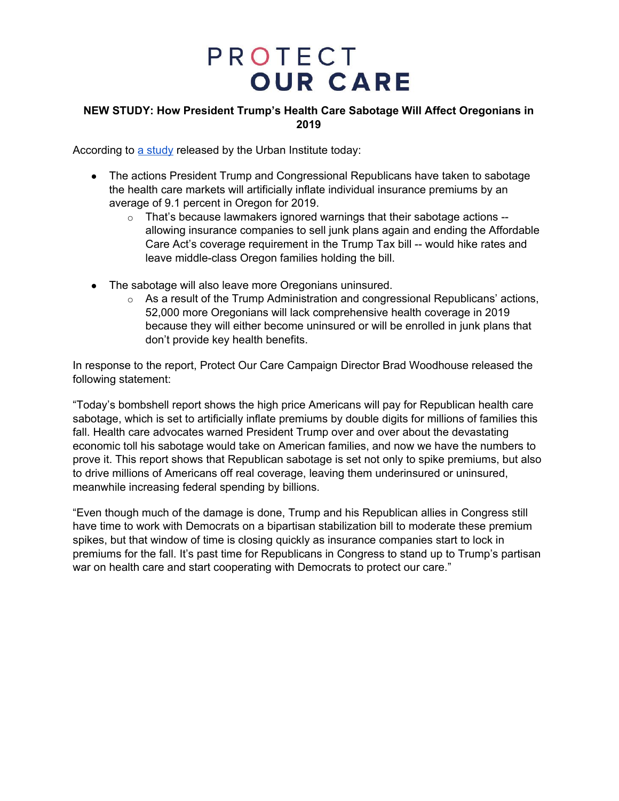### **NEW STUDY: How President Trump's Health Care Sabotage Will Affect Oregonians in 2019**

According to a [study](https://www.urban.org/research/publication/potential-impact-short-term-limited-duration-policies-insurance-coverage-premiums-and-federal-spending) released by the Urban Institute today:

- The actions President Trump and Congressional Republicans have taken to sabotage the health care markets will artificially inflate individual insurance premiums by an average of 9.1 percent in Oregon for 2019.
	- $\circ$  That's because lawmakers ignored warnings that their sabotage actions -allowing insurance companies to sell junk plans again and ending the Affordable Care Act's coverage requirement in the Trump Tax bill -- would hike rates and leave middle-class Oregon families holding the bill.
- The sabotage will also leave more Oregonians uninsured.
	- $\circ$  As a result of the Trump Administration and congressional Republicans' actions, 52,000 more Oregonians will lack comprehensive health coverage in 2019 because they will either become uninsured or will be enrolled in junk plans that don't provide key health benefits.

In response to the report, Protect Our Care Campaign Director Brad Woodhouse released the following statement:

"Today's bombshell report shows the high price Americans will pay for Republican health care sabotage, which is set to artificially inflate premiums by double digits for millions of families this fall. Health care advocates warned President Trump over and over about the devastating economic toll his sabotage would take on American families, and now we have the numbers to prove it. This report shows that Republican sabotage is set not only to spike premiums, but also to drive millions of Americans off real coverage, leaving them underinsured or uninsured, meanwhile increasing federal spending by billions.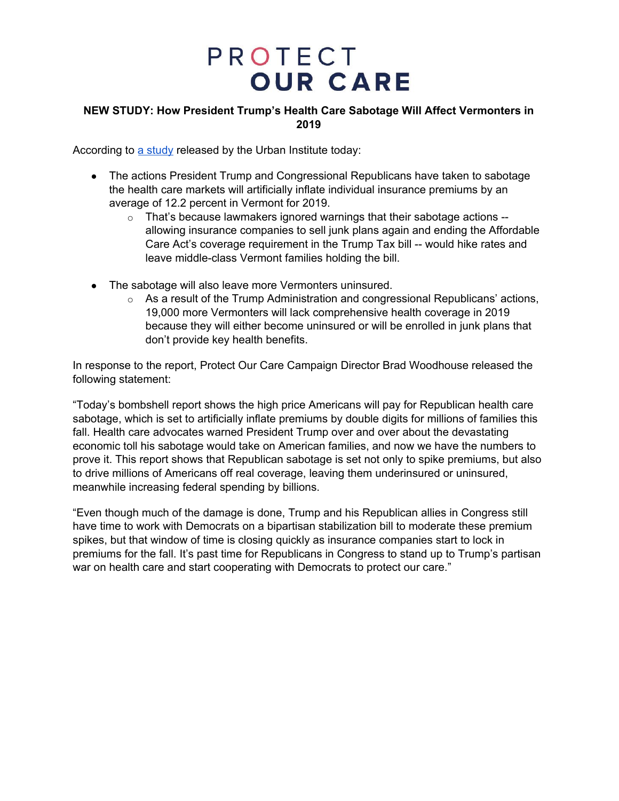### **NEW STUDY: How President Trump's Health Care Sabotage Will Affect Vermonters in 2019**

According to a [study](https://www.urban.org/research/publication/potential-impact-short-term-limited-duration-policies-insurance-coverage-premiums-and-federal-spending) released by the Urban Institute today:

- The actions President Trump and Congressional Republicans have taken to sabotage the health care markets will artificially inflate individual insurance premiums by an average of 12.2 percent in Vermont for 2019.
	- o That's because lawmakers ignored warnings that their sabotage actions allowing insurance companies to sell junk plans again and ending the Affordable Care Act's coverage requirement in the Trump Tax bill -- would hike rates and leave middle-class Vermont families holding the bill.
- The sabotage will also leave more Vermonters uninsured.
	- $\circ$  As a result of the Trump Administration and congressional Republicans' actions, 19,000 more Vermonters will lack comprehensive health coverage in 2019 because they will either become uninsured or will be enrolled in junk plans that don't provide key health benefits.

In response to the report, Protect Our Care Campaign Director Brad Woodhouse released the following statement:

"Today's bombshell report shows the high price Americans will pay for Republican health care sabotage, which is set to artificially inflate premiums by double digits for millions of families this fall. Health care advocates warned President Trump over and over about the devastating economic toll his sabotage would take on American families, and now we have the numbers to prove it. This report shows that Republican sabotage is set not only to spike premiums, but also to drive millions of Americans off real coverage, leaving them underinsured or uninsured, meanwhile increasing federal spending by billions.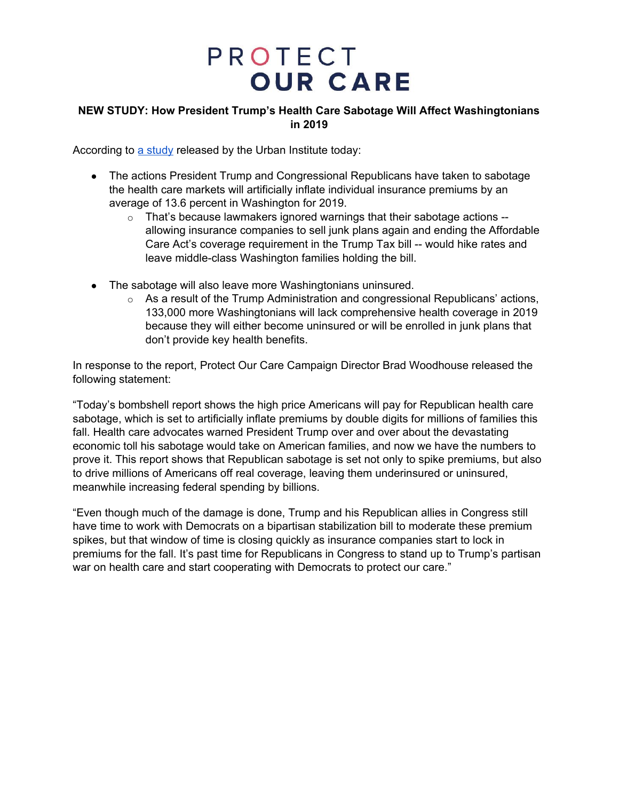### **NEW STUDY: How President Trump's Health Care Sabotage Will Affect Washingtonians in 2019**

According to a [study](https://www.urban.org/research/publication/potential-impact-short-term-limited-duration-policies-insurance-coverage-premiums-and-federal-spending) released by the Urban Institute today:

- The actions President Trump and Congressional Republicans have taken to sabotage the health care markets will artificially inflate individual insurance premiums by an average of 13.6 percent in Washington for 2019.
	- o That's because lawmakers ignored warnings that their sabotage actions allowing insurance companies to sell junk plans again and ending the Affordable Care Act's coverage requirement in the Trump Tax bill -- would hike rates and leave middle-class Washington families holding the bill.
- The sabotage will also leave more Washingtonians uninsured.
	- $\circ$  As a result of the Trump Administration and congressional Republicans' actions, 133,000 more Washingtonians will lack comprehensive health coverage in 2019 because they will either become uninsured or will be enrolled in junk plans that don't provide key health benefits.

In response to the report, Protect Our Care Campaign Director Brad Woodhouse released the following statement:

"Today's bombshell report shows the high price Americans will pay for Republican health care sabotage, which is set to artificially inflate premiums by double digits for millions of families this fall. Health care advocates warned President Trump over and over about the devastating economic toll his sabotage would take on American families, and now we have the numbers to prove it. This report shows that Republican sabotage is set not only to spike premiums, but also to drive millions of Americans off real coverage, leaving them underinsured or uninsured, meanwhile increasing federal spending by billions.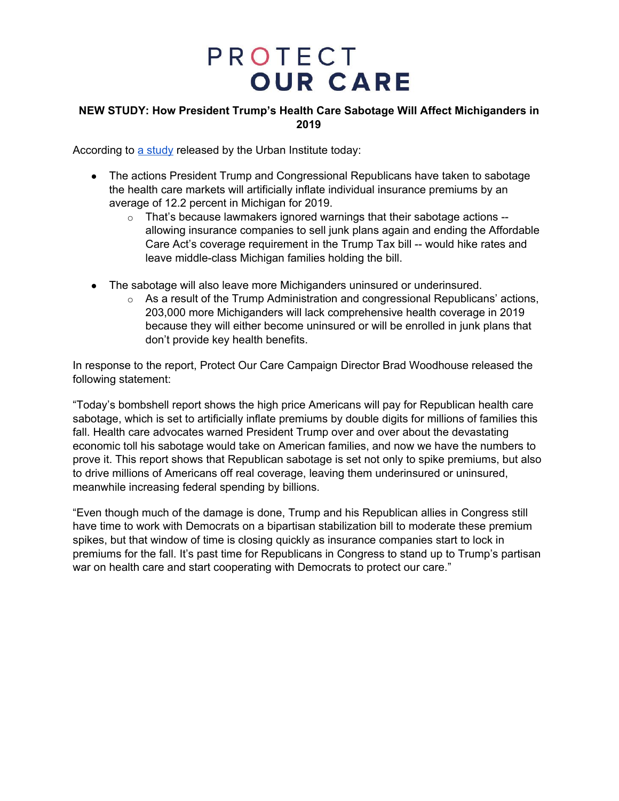### **NEW STUDY: How President Trump's Health Care Sabotage Will Affect Michiganders in 2019**

According to a [study](https://www.urban.org/research/publication/potential-impact-short-term-limited-duration-policies-insurance-coverage-premiums-and-federal-spending) released by the Urban Institute today:

- The actions President Trump and Congressional Republicans have taken to sabotage the health care markets will artificially inflate individual insurance premiums by an average of 12.2 percent in Michigan for 2019.
	- o That's because lawmakers ignored warnings that their sabotage actions allowing insurance companies to sell junk plans again and ending the Affordable Care Act's coverage requirement in the Trump Tax bill -- would hike rates and leave middle-class Michigan families holding the bill.
- The sabotage will also leave more Michiganders uninsured or underinsured.
	- $\circ$  As a result of the Trump Administration and congressional Republicans' actions, 203,000 more Michiganders will lack comprehensive health coverage in 2019 because they will either become uninsured or will be enrolled in junk plans that don't provide key health benefits.

In response to the report, Protect Our Care Campaign Director Brad Woodhouse released the following statement:

"Today's bombshell report shows the high price Americans will pay for Republican health care sabotage, which is set to artificially inflate premiums by double digits for millions of families this fall. Health care advocates warned President Trump over and over about the devastating economic toll his sabotage would take on American families, and now we have the numbers to prove it. This report shows that Republican sabotage is set not only to spike premiums, but also to drive millions of Americans off real coverage, leaving them underinsured or uninsured, meanwhile increasing federal spending by billions.